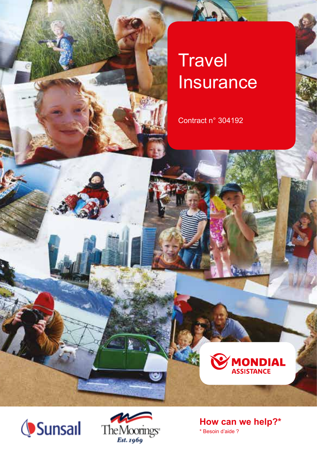# **Travel Insurance**

KANL

Contract n° 304192





ω

**How can we help?\*** \* Besoin d'aide ?

**MONDIAL**<br>ASSISTANCE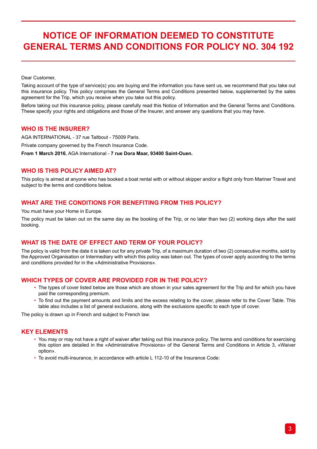## **NOTICE OF INFORMATION DEEMED TO CONSTITUTE GENERAL TERMS AND CONDITIONS FOR POLICY NO. 304 192**

Dear Customer,

Taking account of the type of service(s) you are buying and the information you have sent us, we recommend that you take out this insurance policy. This policy comprises the General Terms and Conditions presented below, supplemented by the sales agreement for the Trip, which you receive when you take out this policy.

Before taking out this insurance policy, please carefully read this Notice of Information and the General Terms and Conditions. These specify your rights and obligations and those of the Insurer, and answer any questions that you may have.

### **WHO IS THE INSURER?**

AGA INTERNATIONAL - 37 rue Taitbout - 75009 Paris. Private company governed by the French Insurance Code. **From 1 March 2016**, AGA International - **7 rue Dora Maar, 93400 Saint-Ouen.**

## **WHO IS THIS POLICY AIMED AT?**

This policy is aimed at anyone who has booked a boat rental with or without skipper and/or a flight only from Mariner Travel and subject to the terms and conditions below.

## **WHAT ARE THE CONDITIONS FOR BENEFITING FROM THIS POLICY?**

You must have your Home in Europe.

The policy must be taken out on the same day as the booking of the Trip, or no later than two (2) working days after the said booking.

## **WHAT IS THE DATE OF EFFECT AND TERM OF YOUR POLICY?**

The policy is valid from the date it is taken out for any private Trip, of a maximum duration of two (2) consecutive months, sold by the Approved Organisation or Intermediary with which this policy was taken out. The types of cover apply according to the terms and conditions provided for in the «Administrative Provisions».

## **WHICH TYPES OF COVER ARE PROVIDED FOR IN THE POLICY?**

- The types of cover listed below are those which are shown in your sales agreement for the Trip and for which you have paid the corresponding premium.
- To find out the payment amounts and limits and the excess relating to the cover, please refer to the Cover Table. This table also includes a list of general exclusions, along with the exclusions specific to each type of cover.

The policy is drawn up in French and subject to French law.

## **KEY ELEMENTS**

- You may or may not have a right of waiver after taking out this insurance policy. The terms and conditions for exercising this option are detailed in the «Administrative Provisions» of the General Terms and Conditions in Article 3, «Waiver option».
- To avoid multi-insurance, in accordance with article L 112-10 of the Insurance Code: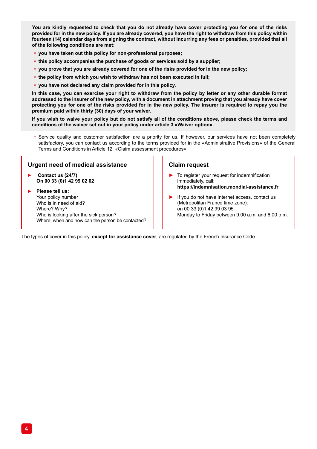**You are kindly requested to check that you do not already have cover protecting you for one of the risks provided for in the new policy. If you are already covered, you have the right to withdraw from this policy within fourteen (14) calendar days from signing the contract, without incurring any fees or penalties, provided that all of the following conditions are met:**

- **• you have taken out this policy for non-professional purposes;**
- **• this policy accompanies the purchase of goods or services sold by a supplier;**
- **• you prove that you are already covered for one of the risks provided for in the new policy;**
- **• the policy from which you wish to withdraw has not been executed in full;**
- **• you have not declared any claim provided for in this policy.**

**In this case, you can exercise your right to withdraw from the policy by letter or any other durable format addressed to the insurer of the new policy, with a document in attachment proving that you already have cover protecting you for one of the risks provided for in the new policy. The insurer is required to repay you the premium paid within thirty (30) days of your waiver.**

**If you wish to waive your policy but do not satisfy all of the conditions above, please check the terms and conditions of the waiver set out in your policy under article 3 «Waiver option».**

• Service quality and customer satisfaction are a priority for us. If however, our services have not been completely satisfactory, you can contact us according to the terms provided for in the «Administrative Provisions» of the General Terms and Conditions in Article 12, «Claim assessment procedures».

#### **Urgent need of medical assistance**

 **Contact us (24/7) On 00 33 (0)1 42 99 02 02** 

**Please tell us:** Your policy number Who is in need of aid? Where? Why? Who is looking after the sick person? Where, when and how can the person be contacted?

#### **Claim request**

- ► To register your request for indemnification immediately, call: **https://indemnisation.mondial-assistance.fr**
- ► If you do not have Internet access, contact us (Metropolitan France time zone): on 00 33 (0)1 42 99 03 95 Monday to Friday between 9.00 a.m. and 6.00 p.m.

The types of cover in this policy, **except for assistance cover**, are regulated by the French Insurance Code.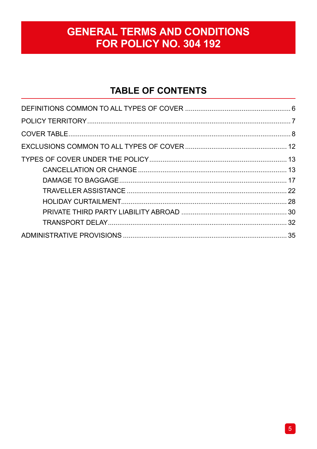## **GENERAL TERMS AND CONDITIONS** FOR POLICY NO. 304 192

## **TABLE OF CONTENTS**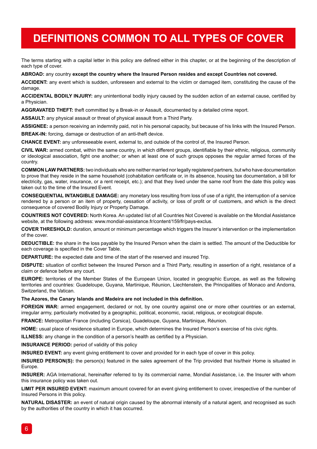## **DEFINITIONS COMMON TO ALL TYPES OF COVER**

The terms starting with a capital letter in this policy are defined either in this chapter, or at the beginning of the description of each type of cover.

#### **ABROAD:** any country **except the country where the Insured Person resides and except Countries not covered.**

**ACCIDENT:** any event which is sudden, unforeseen and external to the victim or damaged item, constituting the cause of the damage

**ACCIDENTAL BODILY INJURY:** any unintentional bodily injury caused by the sudden action of an external cause, certified by a Physician.

**AGGRAVATED THEFT:** theft committed by a Break-in or Assault, documented by a detailed crime report.

**ASSAULT:** any physical assault or threat of physical assault from a Third Party.

**ASSIGNEE:** a person receiving an indemnity paid, not in his personal capacity, but because of his links with the Insured Person.

**BREAK-IN:** forcing, damage or destruction of an anti-theft device.

**CHANCE EVENT:** any unforeseeable event, external to, and outside of the control of, the Insured Person.

**CIVIL WAR:** armed combat, within the same country, in which different groups, identifiable by their ethnic, religious, community or ideological association, fight one another; or when at least one of such groups opposes the regular armed forces of the country.

**COMMON LAW PARTNERS:** two individuals who are neither married nor legally registered partners, but who have documentation to prove that they reside in the same household (cohabitation certificate or, in its absence, housing tax documentation, a bill for electricity, gas, water, insurance, or a rent receipt, etc.); and that they lived under the same roof from the date this policy was taken out to the time of the Insured Event.

**CONSEQUENTIAL INTANGIBLE DAMAGE:** any monetary loss resulting from loss of use of a right, the interruption of a service rendered by a person or an item of property, cessation of activity, or loss of profit or of customers, and which is the direct consequence of covered Bodily Injury or Property Damage.

**COUNTRIES NOT COVERED:** North Korea. An updated list of all Countries Not Covered is available on the Mondial Assistance website, at the following address: www.mondial-assistance.fr/content/159/fr/pays-exclus.

**COVER THRESHOLD:** duration, amount or minimum percentage which triggers the Insurer's intervention or the implementation of the cover.

**DEDUCTIBLE:** the share in the loss payable by the Insured Person when the claim is settled. The amount of the Deductible for each coverage is specified in the Cover Table.

**DEPARTURE:** the expected date and time of the start of the reserved and insured Trip.

**DISPUTE:** situation of conflict between the Insured Person and a Third Party, resulting in assertion of a right, resistance of a claim or defence before any court.

**EUROPE:** territories of the Member States of the European Union, located in geographic Europe, as well as the following territories and countries: Guadeloupe, Guyana, Martinique, Réunion, Liechtenstein, the Principalities of Monaco and Andorra, Switzerland, the Vatican.

**The Azores, the Canary Islands and Madeira are not included in this definition.**

**FOREIGN WAR:** armed engagement, declared or not, by one country against one or more other countries or an external, irregular army, particularly motivated by a geographic, political, economic, racial, religious, or ecological dispute.

**FRANCE:** Metropolitan France (including Corsica), Guadeloupe, Guyana, Martinique, Réunion.

**HOME:** usual place of residence situated in Europe, which determines the Insured Person's exercise of his civic rights.

**ILLNESS:** any change in the condition of a person's health as certified by a Physician.

**INSURANCE PERIOD:** period of validity of this policy

**INSURED EVENT:** any event giving entitlement to cover and provided for in each type of cover in this policy.

**INSURED PERSON(S):** the person(s) featured in the sales agreement of the Trip provided that his/their Home is situated in Europe.

**INSURER:** AGA International, hereinafter referred to by its commercial name, Mondial Assistance, i.e. the Insurer with whom this insurance policy was taken out.

**LIMIT PER INSURED EVENT:** maximum amount covered for an event giving entitlement to cover, irrespective of the number of Insured Persons in this policy.

**NATURAL DISASTER:** an event of natural origin caused by the abnormal intensity of a natural agent, and recognised as such by the authorities of the country in which it has occurred.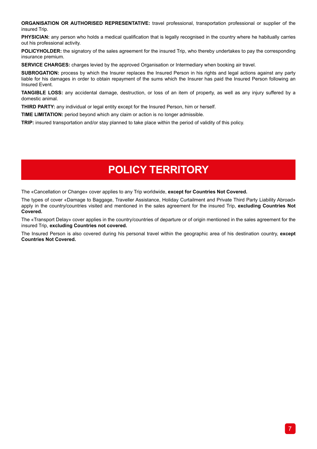**ORGANISATION OR AUTHORISED REPRESENTATIVE:** travel professional, transportation professional or supplier of the insured Trip.

**PHYSICIAN:** any person who holds a medical qualification that is legally recognised in the country where he habitually carries out his professional activity.

**POLICYHOLDER:** the signatory of the sales agreement for the insured Trip, who thereby undertakes to pay the corresponding insurance premium.

**SERVICE CHARGES:** charges levied by the approved Organisation or Intermediary when booking air travel.

**SUBROGATION:** process by which the Insurer replaces the Insured Person in his rights and legal actions against any party liable for his damages in order to obtain repayment of the sums which the Insurer has paid the Insured Person following an Insured Event.

**TANGIBLE LOSS:** any accidental damage, destruction, or loss of an item of property, as well as any injury suffered by a domestic animal.

**THIRD PARTY:** any individual or legal entity except for the Insured Person, him or herself.

**TIME LIMITATION:** period beyond which any claim or action is no longer admissible.

**TRIP:** insured transportation and/or stay planned to take place within the period of validity of this policy.

## **POLICY TERRITORY**

The «Cancellation or Change» cover applies to any Trip worldwide, **except for Countries Not Covered.**

The types of cover «Damage to Baggage, Traveller Assistance, Holiday Curtailment and Private Third Party Liability Abroad» apply in the country/countries visited and mentioned in the sales agreement for the insured Trip, **excluding Countries Not Covered.** 

The «Transport Delay» cover applies in the country/countries of departure or of origin mentioned in the sales agreement for the insured Trip, **excluding Countries not covered.** 

The Insured Person is also covered during his personal travel within the geographic area of his destination country, **except Countries Not Covered.**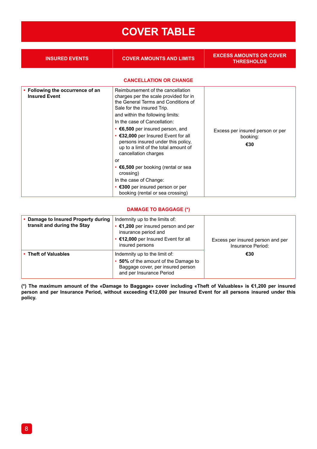## **COVER TABLE**

| <b>INSURED EVENTS</b>                                    | <b>COVER AMOUNTS AND LIMITS</b>                                                                                                                                                                                                                                                                                                                                                                                                                                                                          | <b>EXCESS AMOUNTS OR COVER</b><br><b>THRESHOLDS</b> |
|----------------------------------------------------------|----------------------------------------------------------------------------------------------------------------------------------------------------------------------------------------------------------------------------------------------------------------------------------------------------------------------------------------------------------------------------------------------------------------------------------------------------------------------------------------------------------|-----------------------------------------------------|
|                                                          | <b>CANCELLATION OR CHANGE</b>                                                                                                                                                                                                                                                                                                                                                                                                                                                                            |                                                     |
| • Following the occurrence of an<br><b>Insured Event</b> | Reimbursement of the cancellation<br>charges per the scale provided for in<br>the General Terms and Conditions of<br>Sale for the insured Trip.<br>and within the following limits:<br>In the case of Cancellation:<br>• €6,500 per insured person, and<br>• €32,000 per Insured Event for all<br>persons insured under this policy,<br>up to a limit of the total amount of<br>cancellation charges<br>or<br>$\cdot$ $\epsilon$ 6,500 per booking (rental or sea<br>crossing)<br>In the case of Change: | Excess per insured person or per<br>booking:<br>€30 |
|                                                          | • €300 per insured person or per<br>booking (rental or sea crossing)                                                                                                                                                                                                                                                                                                                                                                                                                                     |                                                     |

### **DAMAGE TO BAGGAGE (\*)**

| • Damage to Insured Property during<br>transit and during the Stay | Indemnity up to the limits of:<br>€1,200 per insured person and per<br>insurance period and<br>• €12,000 per Insured Event for all<br>insured persons | Excess per insured person and per<br>Insurance Period: |
|--------------------------------------------------------------------|-------------------------------------------------------------------------------------------------------------------------------------------------------|--------------------------------------------------------|
| • Theft of Valuables                                               | Indemnity up to the limit of:<br>50% of the amount of the Damage to<br>Baggage cover, per insured person<br>and per Insurance Period                  | €30                                                    |

**(\*) The maximum amount of the «Damage to Baggage» cover including «Theft of Valuables» is €1,200 per insured person and per Insurance Period, without exceeding €12,000 per Insured Event for all persons insured under this policy.**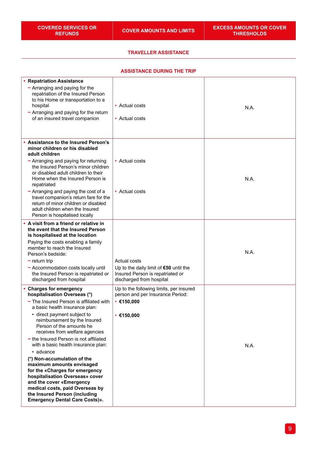#### **TRAVELLER ASSISTANCE**

## **ASSISTANCE DURING THE TRIP**

| <b>Repatriation Assistance</b><br>- Arranging and paying for the<br>repatriation of the Insured Person<br>to his Home or transportation to a<br>hospital<br>$-$ Arranging and paying for the return<br>of an insured travel companion                                                                                                                                                                                                                                                                                                                                                                                                          | • Actual costs<br>• Actual costs                                                                                         | N.A. |
|------------------------------------------------------------------------------------------------------------------------------------------------------------------------------------------------------------------------------------------------------------------------------------------------------------------------------------------------------------------------------------------------------------------------------------------------------------------------------------------------------------------------------------------------------------------------------------------------------------------------------------------------|--------------------------------------------------------------------------------------------------------------------------|------|
| <b>Assistance to the Insured Person's</b><br>minor children or his disabled<br>adult children<br>- Arranging and paying for returning<br>the Insured Person's minor children<br>or disabled adult children to their<br>Home when the Insured Person is<br>repatriated<br>- Arranging and paying the cost of a<br>travel companion's return fare for the<br>return of minor children or disabled<br>adult children when the Insured<br>Person is hospitalised locally                                                                                                                                                                           | • Actual costs<br>• Actual costs                                                                                         | N.A. |
| A visit from a friend or relative in<br>the event that the Insured Person<br>is hospitalised at the location<br>Paying the costs enabling a family<br>member to reach the Insured<br>Person's bedside:<br>$-$ return trip<br>- Accommodation costs locally until<br>the Insured Person is repatriated or<br>discharged from hospital                                                                                                                                                                                                                                                                                                           | Actual costs<br>Up to the daily limit of $$50$ until the<br>Insured Person is repatriated or<br>discharged from hospital | N.A. |
| <b>Charges for emergency</b><br>hospitalisation Overseas (*)<br>- The Insured Person is affiliated with<br>a basic health insurance plan:<br>• direct payment subject to<br>reimbursement by the Insured<br>Person of the amounts he<br>receives from welfare agencies<br>- the Insured Person is not affiliated<br>with a basic health insurance plan:<br>• advance<br>(*) Non-accumulation of the<br>maximum amounts envisaged<br>for the «Charges for emergency<br>hospitalisation Overseas» cover<br>and the cover «Emergency<br>medical costs, paid Overseas by<br>the Insured Person (including<br><b>Emergency Dental Care Costs)».</b> | Up to the following limits, per insured<br>person and per Insurance Period:<br>• €150,000<br>• €150,000                  | N.A. |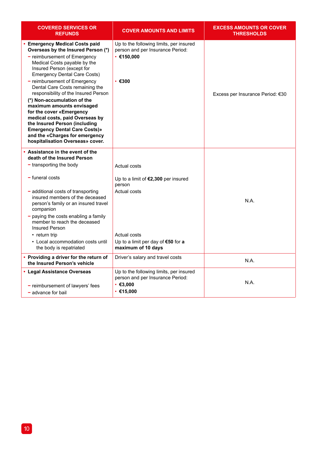| <b>COVERED SERVICES OR</b><br><b>REFUNDS</b>                                                                                                                                                                                                                                                                                                                                                                                                                                                                                                                                                        | <b>COVER AMOUNTS AND LIMITS</b>                                                                                                                             | <b>EXCESS AMOUNTS OR COVER</b><br><b>THRESHOLDS</b> |
|-----------------------------------------------------------------------------------------------------------------------------------------------------------------------------------------------------------------------------------------------------------------------------------------------------------------------------------------------------------------------------------------------------------------------------------------------------------------------------------------------------------------------------------------------------------------------------------------------------|-------------------------------------------------------------------------------------------------------------------------------------------------------------|-----------------------------------------------------|
| <b>Emergency Medical Costs paid</b><br>Overseas by the Insured Person (*)<br>- reimbursement of Emergency<br>Medical Costs payable by the<br>Insured Person (except for<br><b>Emergency Dental Care Costs)</b><br>- reimbursement of Emergency<br>Dental Care Costs remaining the<br>responsibility of the Insured Person<br>(*) Non-accumulation of the<br>maximum amounts envisaged<br>for the cover «Emergency<br>medical costs, paid Overseas by<br>the Insured Person (including<br><b>Emergency Dental Care Costs)»</b><br>and the «Charges for emergency<br>hospitalisation Overseas» cover. | Up to the following limits, per insured<br>person and per Insurance Period:<br>$\cdot$ €150,000<br>$\cdot$ $\epsilon$ 300                                   | Excess per Insurance Period: €30                    |
| Assistance in the event of the<br>death of the Insured Person<br>$-$ transporting the body<br>$-$ funeral costs<br>- additional costs of transporting<br>insured members of the deceased<br>person's family or an insured travel<br>companion<br>$-$ paying the costs enabling a family<br>member to reach the deceased<br><b>Insured Person</b><br>• return trip<br>• Local accommodation costs until<br>the body is repatriated                                                                                                                                                                   | Actual costs<br>Up to a limit of €2,300 per insured<br>person<br>Actual costs<br>Actual costs<br>Up to a limit per day of $€50$ for a<br>maximum of 10 days | N.A.                                                |
| • Providing a driver for the return of<br>the Insured Person's vehicle                                                                                                                                                                                                                                                                                                                                                                                                                                                                                                                              | Driver's salary and travel costs                                                                                                                            | N.A.                                                |
| • Legal Assistance Overseas<br>- reimbursement of lawyers' fees<br>- advance for bail                                                                                                                                                                                                                                                                                                                                                                                                                                                                                                               | Up to the following limits, per insured<br>person and per Insurance Period:<br>$\cdot$ $\epsilon$ 3.000<br>• €15,000                                        | N.A.                                                |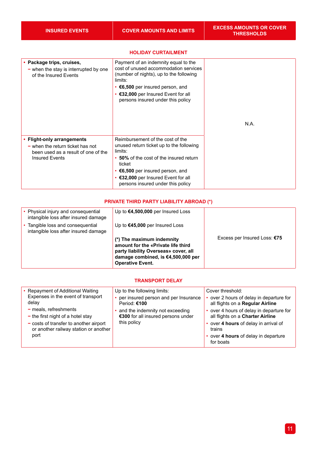#### **• Package trips, cruises, −** when the stay is interrupted by one of the Insured Events Payment of an indemnity equal to the cost of unused accommodation services (number of nights), up to the following limits: • **€6,500** per insured person, and • **€32,000** per Insured Event for all persons insured under this policy N.A. **• Flight-only arrangements −** when the return ticket has not been used as a result of one of the Insured Events Reimbursement of the cost of the unused return ticket up to the following limits: • **50%** of the cost of the insured return ticket • **€6,500** per insured person, and • **€32,000** per Insured Event for all persons insured under this policy

#### **HOLIDAY CURTAILMENT**

#### **PRIVATE THIRD PARTY LIABILITY ABROAD (\*)**

| • Physical injury and consequential<br>intangible loss after insured damage | Up to $€4,500,000$ per Insured Loss                                                                                                                                      |                              |
|-----------------------------------------------------------------------------|--------------------------------------------------------------------------------------------------------------------------------------------------------------------------|------------------------------|
| Tangible loss and consequential<br>intangible loss after insured damage     | Up to $€45,000$ per Insured Loss                                                                                                                                         |                              |
|                                                                             | (*) The maximum indemnity<br>amount for the «Private life third<br>party liability Overseas» cover, all<br>damage combined, is €4,500,000 per<br><b>Operative Event.</b> | Excess per Insured Loss: €75 |

### **TRANSPORT DELAY**

| • Repayment of Additional Waiting                                                 | Up to the following limits:                                           | Cover threshold:                                                             |
|-----------------------------------------------------------------------------------|-----------------------------------------------------------------------|------------------------------------------------------------------------------|
| Expenses in the event of transport<br>delay                                       | per insured person and per Insurance<br>Period: €100                  | over 2 hours of delay in departure for<br>all flights on a Regular Airline   |
| $-$ meals, refreshments<br>$-$ the first night of a hotel stay                    | and the indemnity not exceeding<br>€300 for all insured persons under | • over 4 hours of delay in departure for<br>all flights on a Charter Airline |
| $-$ costs of transfer to another airport<br>or another railway station or another | this policy                                                           | • over 4 hours of delay in arrival of<br>trains                              |
| port                                                                              |                                                                       | • over 4 hours of delay in departure<br>for boats                            |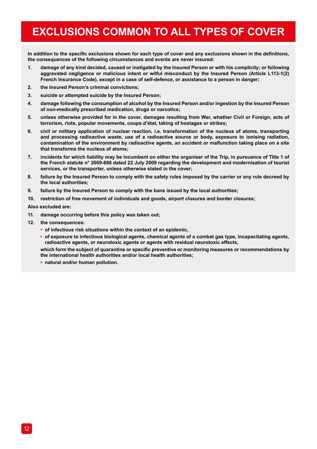## **EXCLUSIONS COMMON TO ALL TYPES OF COVER**

**In addition to the specific exclusions shown for each type of cover and any exclusions shown in the definitions, the consequences of the following circumstances and events are never insured:**

- **1. damage of any kind decided, caused or instigated by the Insured Person or with his complicity; or following aggravated negligence or malicious intent or wilful misconduct by the Insured Person (Article L113-1(2) French Insurance Code), except in a case of self-defence, or assistance to a person in danger;**
- **2. the Insured Person's criminal convictions;**
- **3. suicide or attempted suicide by the Insured Person;**
- **4. damage following the consumption of alcohol by the Insured Person and/or ingestion by the Insured Person of non-medically prescribed medication, drugs or narcotics;**
- **5. unless otherwise provided for in the cover, damages resulting from War, whether Civil or Foreign, acts of terrorism, riots, popular movements, coups d'état, taking of hostages or strikes;**
- **6. civil or military application of nuclear reaction, i.e. transformation of the nucleus of atoms, transporting and processing radioactive waste, use of a radioactive source or body, exposure to ionising radiation, contamination of the environment by radioactive agents, an accident or malfunction taking place on a site that transforms the nucleus of atoms;**
- **7. incidents for which liability may be incumbent on either the organiser of the Trip, in pursuance of Title 1 of the French statute n° 2009-888 dated 22 July 2009 regarding the development and modernisation of tourist services, or the transporter, unless otherwise stated in the cover;**
- **8. failure by the Insured Person to comply with the safety rules imposed by the carrier or any rule decreed by the local authorities;**
- **9. failure by the Insured Person to comply with the bans issued by the local authorities;**
- **10. restriction of free movement of individuals and goods, airport closures and border closures;**

**Also excluded are:**

- **11. damage occurring before this policy was taken out;**
- **12. the consequences:**
	- **• of infectious risk situations within the context of an epidemic,**
	- **• of exposure to infectious biological agents, chemical agents of a combat gas type, incapacitating agents, radioactive agents, or neurotoxic agents or agents with residual neurotoxic effects,**

**which form the subject of quarantine or specific preventive or monitoring measures or recommendations by the international health authorities and/or local health authorities;**

**• natural and/or human pollution.**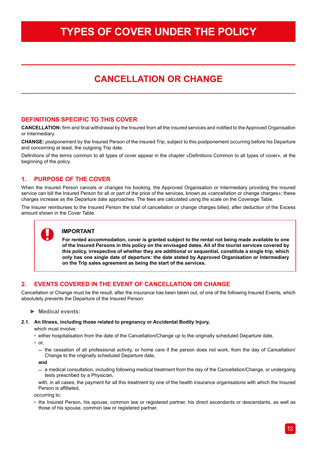## **TYPES OF COVER UNDER THE POLICY**

## **CANCELLATION OR CHANGE**

## **DEFINITIONS SPECIFIC TO THIS COVER**

**CANCELLATION:** firm and final withdrawal by the Insured from all the insured services and notified to the Approved Organisation or Intermediary.

**CHANGE:** postponement by the Insured Person of the insured Trip, subject to this postponement occurring before his Departure and concerning at least, the outgoing Trip date.

Definitions of the terms common to all types of cover appear in the chapter «Definitions Common to all types of cover», at the beginning of the policy.

## **1. PURPOSE OF THE COVER**

When the Insured Person cancels or changes his booking, the Approved Organisation or Intermediary providing the insured service can bill the Insured Person for all or part of the price of the services, known as «cancellation or change charges»; these charges increase as the Departure date approaches. The fees are calculated using the scale on the Coverage Table.

The Insurer reimburses to the Insured Person the total of cancellation or change charges billed, after deduction of the Excess amount shown in the Cover Table.

## **IMPORTANT**

**For rented accommodation, cover is granted subject to the rental not being made available to one of the Insured Persons in this policy on the envisaged dates. All of the tourist services covered by this policy, irrespective of whether they are additional or sequential, constitute a single trip, which only has one single date of departure: the date stated by Approved Organisation or Intermediary on the Trip sales agreement as being the start of the services.**

## **2. EVENTS COVERED IN THE EVENT OF CANCELLATION OR CHANGE**

Cancellation or Change must be the result, after the insurance has been taken out, of one of the following Insured Events, which absolutely prevents the Departure of the Insured Person:

**► Medical events:**

#### **2.1. An Illness, including those related to pregnancy or Accidental Bodily Injury,**

which must involve:

- either hospitalisation from the date of the Cancellation/Change up to the originally scheduled Departure date,
- $\cdot$  or
	- $-$  the cessation of all professional activity, or home care if the person does not work, from the day of Cancellation/ Change to the originally scheduled Departure date,
	- **and**
	- $-$  a medical consultation, including following medical treatment from the day of the Cancellation/Change, or undergoing tests prescribed by a Physician,

with, in all cases, the payment for all this treatment by one of the health insurance organisations with which the Insured Person is affiliated,

occurring to:

• the Insured Person, his spouse, common law or registered partner, his direct ascendants or descendants, as well as those of his spouse, common law or registered partner,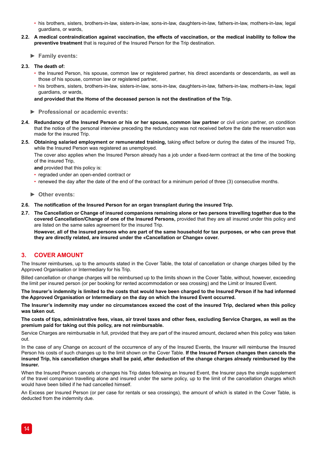- his brothers, sisters, brothers-in-law, sisters-in-law, sons-in-law, daughters-in-law, fathers-in-law, mothers-in-law, legal guardians, or wards,
- **2.2. A medical contraindication against vaccination, the effects of vaccination, or the medical inability to follow the preventive treatment** that is required of the Insured Person for the Trip destination.
	- **► Family events:**
- **2.3. The death of:**
	- the Insured Person, his spouse, common law or registered partner, his direct ascendants or descendants, as well as those of his spouse, common law or registered partner,
	- his brothers, sisters, brothers-in-law, sisters-in-law, sons-in-law, daughters-in-law, fathers-in-law, mothers-in-law, legal guardians, or wards,

**and provided that the Home of the deceased person is not the destination of the Trip.**

- **► Professional or academic events:**
- **2.4. Redundancy of the Insured Person or his or her spouse, common law partner** or civil union partner, on condition that the notice of the personal interview preceding the redundancy was not received before the date the reservation was made for the insured Trip.
- **2.5. Obtaining salaried employment or remunerated training,** taking effect before or during the dates of the insured Trip, while the Insured Person was registered as unemployed.

The cover also applies when the Insured Person already has a job under a fixed-term contract at the time of the booking of the insured Trip,

**and** provided that this policy is:

- regraded under an open-ended contract or
- renewed the day after the date of the end of the contract for a minimum period of three (3) consecutive months.
- **► Other events:**
- **2.6. The notification of the Insured Person for an organ transplant during the insured Trip.**
- **2.7. The Cancellation or Change of insured companions remaining alone or two persons travelling together due to the covered Cancellation/Change of one of the Insured Persons,** provided that they are all insured under this policy and are listed on the same sales agreement for the insured Trip.

**However, all of the insured persons who are part of the same household for tax purposes, or who can prove that they are directly related, are insured under the «Cancellation or Change» cover.**

## **3. COVER AMOUNT**

The Insurer reimburses, up to the amounts stated in the Cover Table, the total of cancellation or change charges billed by the Approved Organisation or Intermediary for his Trip.

Billed cancellation or change charges will be reimbursed up to the limits shown in the Cover Table, without, however, exceeding the limit per insured person (or per booking for rented accommodation or sea crossing) and the Limit or Insured Event.

**The Insurer's indemnity is limited to the costs that would have been charged to the Insured Person if he had informed the Approved Organisation or Intermediary on the day on which the Insured Event occurred.**

**The Insurer's indemnity may under no circumstances exceed the cost of the insured Trip, declared when this policy was taken out.**

**The costs of tips, administrative fees, visas, air travel taxes and other fees, excluding Service Charges, as well as the premium paid for taking out this policy, are not reimbursable.**

Service Charges are reimbursable in full, provided that they are part of the insured amount, declared when this policy was taken out.

In the case of any Change on account of the occurrence of any of the Insured Events, the Insurer will reimburse the Insured Person his costs of such changes up to the limit shown on the Cover Table. **If the Insured Person changes then cancels the insured Trip, his cancellation charges shall be paid, after deduction of the change charges already reimbursed by the Insurer.**

When the Insured Person cancels or changes his Trip dates following an Insured Event, the Insurer pays the single supplement of the travel companion travelling alone and insured under the same policy, up to the limit of the cancellation charges which would have been billed if he had cancelled himself.

An Excess per Insured Person (or per case for rentals or sea crossings), the amount of which is stated in the Cover Table, is deducted from the indemnity due.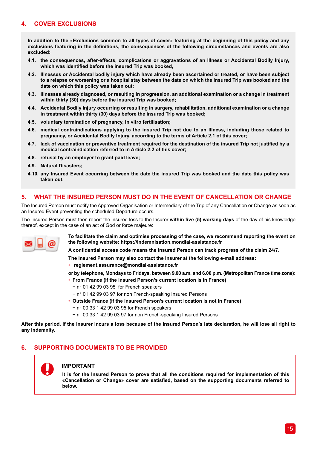## **4. COVER EXCLUSIONS**

**In addition to the «Exclusions common to all types of cover» featuring at the beginning of this policy and any exclusions featuring in the definitions, the consequences of the following circumstances and events are also excluded:**

- **4.1. the consequences, after-effects, complications or aggravations of an Illness or Accidental Bodily Injury, which was identified before the insured Trip was booked,**
- **4.2. Illnesses or Accidental bodily injury which have already been ascertained or treated, or have been subject to a relapse or worsening or a hospital stay between the date on which the insured Trip was booked and the date on which this policy was taken out;**
- **4.3. Illnesses already diagnosed, or resulting in progression, an additional examination or a change in treatment within thirty (30) days before the insured Trip was booked;**
- **4.4. Accidental Bodily Injury occurring or resulting in surgery, rehabilitation, additional examination or a change in treatment within thirty (30) days before the insured Trip was booked;**
- **4.5. voluntary termination of pregnancy, in vitro fertilisation;**
- **4.6. medical contraindications applying to the insured Trip not due to an Illness, including those related to pregnancy, or Accidental Bodily Injury, according to the terms of Article 2.1 of this cover;**
- **4.7. lack of vaccination or preventive treatment required for the destination of the insured Trip not justified by a medical contraindication referred to in Article 2.2 of this cover;**
- **4.8. refusal by an employer to grant paid leave;**
- **4.9. Natural Disasters;**
- **4.10. any Insured Event occurring between the date the insured Trip was booked and the date this policy was taken out.**

## **5. WHAT THE INSURED PERSON MUST DO IN THE EVENT OF CANCELLATION OR CHANGE**

The Insured Person must notify the Approved Organisation or Intermediary of the Trip of any Cancellation or Change as soon as an Insured Event preventing the scheduled Departure occurs.

The Insured Person must then report the insured loss to the Insurer **within five (5) working days** of the day of his knowledge thereof, except in the case of an act of God or force majeure:



**To facilitate the claim and optimise processing of the case, we recommend reporting the event on the following website: https://indemnisation.mondial-assistance.fr**

**A confidential access code means the Insured Person can track progress of the claim 24/7.** 

**The Insured Person may also contact the Insurer at the following e-mail address:**

- • **reglement.assurance@mondial-assistance.fr**
- **or by telephone, Mondays to Fridays, between 9.00 a.m. and 6.00 p.m. (Metropolitan France time zone):** • **From France (if the Insured Person's current location is in France)**
- **−** n° 01 42 99 03 95 for French speakers
- **−** n° 01 42 99 03 97 for non French-speaking Insured Persons
- **Outside France (if the Insured Person's current location is not in France)**
	- **−** n° 00 33 1 42 99 03 95 for French speakers
	- **−** n° 00 33 1 42 99 03 97 for non French-speaking Insured Persons

**After this period, if the Insurer incurs a loss because of the Insured Person's late declaration, he will lose all right to any indemnity.**

## **6. SUPPORTING DOCUMENTS TO BE PROVIDED**

### **IMPORTANT**

**It is for the Insured Person to prove that all the conditions required for implementation of this «Cancellation or Change» cover are satisfied, based on the supporting documents referred to below.**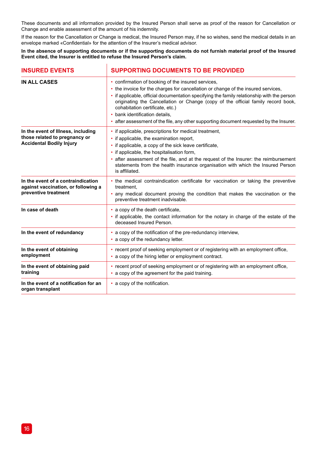These documents and all information provided by the Insured Person shall serve as proof of the reason for Cancellation or Change and enable assessment of the amount of his indemnity.

If the reason for the Cancellation or Change is medical, the Insured Person may, if he so wishes, send the medical details in an envelope marked «Confidential» for the attention of the Insurer's medical advisor.

**In the absence of supporting documents or if the supporting documents do not furnish material proof of the Insured Event cited, the Insurer is entitled to refuse the Insured Person's claim.**

 $\overline{1}$ 

| <b>INSURED EVENTS</b>                                                                                  | <b>SUPPORTING DOCUMENTS TO BE PROVIDED</b>                                                                                                                                                                                                                                                                                                                                                                                                                                              |  |
|--------------------------------------------------------------------------------------------------------|-----------------------------------------------------------------------------------------------------------------------------------------------------------------------------------------------------------------------------------------------------------------------------------------------------------------------------------------------------------------------------------------------------------------------------------------------------------------------------------------|--|
| IN ALL CASES                                                                                           | • confirmation of booking of the insured services,<br>• the invoice for the charges for cancellation or change of the insured services,<br>if applicable, official documentation specifying the family relationship with the person<br>originating the Cancellation or Change (copy of the official family record book,<br>cohabitation certificate, etc.)<br>• bank identification details.<br>• after assessment of the file, any other supporting document requested by the Insurer. |  |
| In the event of Illness, including<br>those related to pregnancy or<br><b>Accidental Bodily Injury</b> | • if applicable, prescriptions for medical treatment,<br>if applicable, the examination report,<br>• if applicable, a copy of the sick leave certificate,<br>• if applicable, the hospitalisation form,<br>after assessment of the file, and at the request of the Insurer: the reimbursement<br>٠<br>statements from the health insurance organisation with which the Insured Person<br>is affiliated.                                                                                 |  |
| In the event of a contraindication<br>against vaccination, or following a<br>preventive treatment      | • the medical contraindication certificate for vaccination or taking the preventive<br>treatment.<br>• any medical document proving the condition that makes the vaccination or the<br>preventive treatment inadvisable.                                                                                                                                                                                                                                                                |  |
| In case of death                                                                                       | • a copy of the death certificate,<br>• if applicable, the contact information for the notary in charge of the estate of the<br>deceased Insured Person.                                                                                                                                                                                                                                                                                                                                |  |
| In the event of redundancy                                                                             | • a copy of the notification of the pre-redundancy interview,<br>• a copy of the redundancy letter.                                                                                                                                                                                                                                                                                                                                                                                     |  |
| In the event of obtaining<br>employment                                                                | • recent proof of seeking employment or of registering with an employment office,<br>• a copy of the hiring letter or employment contract.                                                                                                                                                                                                                                                                                                                                              |  |
| In the event of obtaining paid<br>training                                                             | • recent proof of seeking employment or of registering with an employment office,<br>• a copy of the agreement for the paid training.                                                                                                                                                                                                                                                                                                                                                   |  |
| In the event of a notification for an<br>organ transplant                                              | • a copy of the notification.                                                                                                                                                                                                                                                                                                                                                                                                                                                           |  |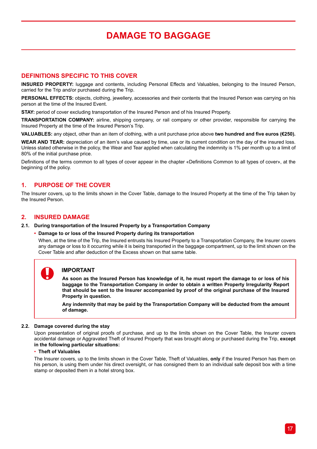## **DAMAGE TO BAGGAGE**

## **DEFINITIONS SPECIFIC TO THIS COVER**

**INSURED PROPERTY:** luggage and contents, including Personal Effects and Valuables, belonging to the Insured Person, carried for the Trip and/or purchased during the Trip.

**PERSONAL EFFECTS:** objects, clothing, jewellery, accessories and their contents that the Insured Person was carrying on his person at the time of the Insured Event.

**STAY:** period of cover excluding transportation of the Insured Person and of his Insured Property.

**TRANSPORTATION COMPANY:** airline, shipping company, or rail company or other provider, responsible for carrying the Insured Property at the time of the Insured Person's Trip.

**VALUABLES:** any object, other than an item of clothing, with a unit purchase price above **two hundred and five euros (€250).**

**WEAR AND TEAR:** depreciation of an item's value caused by time, use or its current condition on the day of the insured loss. Unless stated otherwise in the policy, the Wear and Tear applied when calculating the indemnity is 1% per month up to a limit of 80% of the initial purchase price.

Definitions of the terms common to all types of cover appear in the chapter «Definitions Common to all types of cover», at the beginning of the policy.

## **1. PURPOSE OF THE COVER**

The Insurer covers, up to the limits shown in the Cover Table, damage to the Insured Property at the time of the Trip taken by the Insured Person.

## **2. INSURED DAMAGE**

#### **2.1. During transportation of the Insured Property by a Transportation Company**

**• Damage to or loss of the Insured Property during its transportation**

When, at the time of the Trip, the Insured entrusts his Insured Property to a Transportation Company, the Insurer covers any damage or loss to it occurring while it is being transported in the baggage compartment, up to the limit shown on the Cover Table and after deduction of the Excess shown on that same table.

### **IMPORTANT**

**As soon as the Insured Person has knowledge of it, he must report the damage to or loss of his baggage to the Transportation Company in order to obtain a written Property Irregularity Report that should be sent to the Insurer accompanied by proof of the original purchase of the Insured Property in question.**

**Any indemnity that may be paid by the Transportation Company will be deducted from the amount of damage.**

#### **2.2. Damage covered during the stay**

Upon presentation of original proofs of purchase, and up to the limits shown on the Cover Table, the Insurer covers accidental damage or Aggravated Theft of Insured Property that was brought along or purchased during the Trip, **except in the following particular situations:**

#### • **Theft of Valuables**

The Insurer covers, up to the limits shown in the Cover Table, Theft of Valuables, **only** if the Insured Person has them on his person, is using them under his direct oversight, or has consigned them to an individual safe deposit box with a time stamp or deposited them in a hotel strong box.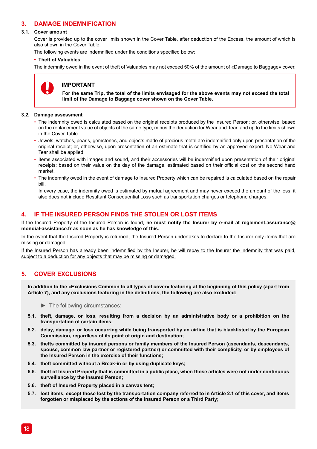## **3. DAMAGE INDEMNIFICATION**

#### **3.1. Cover amount**

Cover is provided up to the cover limits shown in the Cover Table, after deduction of the Excess, the amount of which is also shown in the Cover Table.

The following events are indemnified under the conditions specified below:

#### **• Theft of Valuables**

The indemnity owed in the event of theft of Valuables may not exceed 50% of the amount of «Damage to Baggage» cover.



## **IMPORTANT**

**For the same Trip, the total of the limits envisaged for the above events may not exceed the total limit of the Damage to Baggage cover shown on the Cover Table.**

#### **3.2. Damage assessment**

- The indemnity owed is calculated based on the original receipts produced by the Insured Person; or, otherwise, based on the replacement value of objects of the same type, minus the deduction for Wear and Tear, and up to the limits shown in the Cover Table.
- Jewels, watches, pearls, gemstones, and objects made of precious metal are indemnified only upon presentation of the original receipt; or, otherwise, upon presentation of an estimate that is certified by an approved expert. No Wear and Tear shall be applied.
- Items associated with images and sound, and their accessories will be indemnified upon presentation of their original receipts; based on their value on the day of the damage, estimated based on their official cost on the second hand market.
- The indemnity owed in the event of damage to Insured Property which can be repaired is calculated based on the repair bill.

In every case, the indemnity owed is estimated by mutual agreement and may never exceed the amount of the loss; it also does not include Resultant Consequential Loss such as transportation charges or telephone charges.

## **4. IF THE INSURED PERSON FINDS THE STOLEN OR LOST ITEMS**

If the Insured Property of the Insured Person is found, **he must notify the Insurer by e-mail at reglement.assurance@ mondial-assistance.fr as soon as he has knowledge of this.** 

In the event that the Insured Property is returned, the Insured Person undertakes to declare to the Insurer only items that are missing or damaged.

If the Insured Person has already been indemnified by the Insurer, he will repay to the Insurer the indemnity that was paid, subject to a deduction for any objects that may be missing or damaged.

## **5. COVER EXCLUSIONS**

**In addition to the «Exclusions Common to all types of cover» featuring at the beginning of this policy (apart from Article 7), and any exclusions featuring in the definitions, the following are also excluded:**

► The following circumstances:

- **5.1. theft, damage, or loss, resulting from a decision by an administrative body or a prohibition on the transportation of certain items;**
- **5.2. delay, damage, or loss occurring while being transported by an airline that is blacklisted by the European Commission, regardless of its point of origin and destination;**
- **5.3. thefts committed by insured persons or family members of the Insured Person (ascendants, descendants, spouse, common law partner or registered partner) or committed with their complicity, or by employees of the Insured Person in the exercise of their functions;**
- **5.4. theft committed without a Break-in or by using duplicate keys;**
- **5.5. theft of Insured Property that is committed in a public place, when those articles were not under continuous surveillance by the Insured Person;**
- **5.6. theft of Insured Property placed in a canvas tent;**
- **5.7. lost items, except those lost by the transportation company referred to in Article 2.1 of this cover, and items forgotten or misplaced by the actions of the Insured Person or a Third Party;**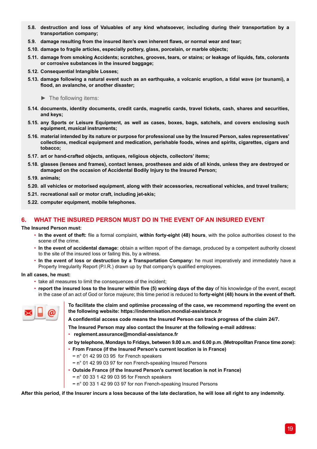- **5.8. destruction and loss of Valuables of any kind whatsoever, including during their transportation by a transportation company;**
- **5.9. damage resulting from the insured item's own inherent flaws, or normal wear and tear;**
- **5.10. damage to fragile articles, especially pottery, glass, porcelain, or marble objects;**
- **5.11. damage from smoking Accidents; scratches, grooves, tears, or stains; or leakage of liquids, fats, colorants or corrosive substances in the insured baggage;**
- **5.12. Consequential Intangible Losses;**
- **5.13. damage following a natural event such as an earthquake, a volcanic eruption, a tidal wave (or tsunami), a flood, an avalanche, or another disaster;**

► The following items:

- **5.14. documents, identity documents, credit cards, magnetic cards, travel tickets, cash, shares and securities, and keys;**
- **5.15. any Sports or Leisure Equipment, as well as cases, boxes, bags, satchels, and covers enclosing such equipment, musical instruments;**
- **5.16. material intended by its nature or purpose for professional use by the Insured Person, sales representatives' collections, medical equipment and medication, perishable foods, wines and spirits, cigarettes, cigars and tobacco;**
- **5.17. art or hand-crafted objects, antiques, religious objects, collectors' items;**
- **5.18. glasses (lenses and frames), contact lenses, prostheses and aids of all kinds, unless they are destroyed or damaged on the occasion of Accidental Bodily Injury to the Insured Person;**
- **5.19. animals;**
- **5.20. all vehicles or motorised equipment, along with their accessories, recreational vehicles, and travel trailers;**
- **5.21. recreational sail or motor craft, including jet-skis;**
- **5.22. computer equipment, mobile telephones.**

## **6. WHAT THE INSURED PERSON MUST DO IN THE EVENT OF AN INSURED EVENT**

#### **The Insured Person must:**

- **In the event of theft:** file a formal complaint, **within forty-eight (48) hours**, with the police authorities closest to the scene of the crime.
- **In the event of accidental damage:** obtain a written report of the damage, produced by a competent authority closest to the site of the insured loss or failing this, by a witness.
- **In the event of loss or destruction by a Transportation Company:** he must imperatively and immediately have a Property Irregularity Report (P.I.R.) drawn up by that company's qualified employees.

#### **In all cases, he must:**

- take all measures to limit the consequences of the incident;
- **report the insured loss to the Insurer within five (5) working days of the day** of his knowledge of the event, except in the case of an act of God or force majeure; this time period is reduced to **forty-eight (48) hours in the event of theft.**



**To facilitate the claim and optimise processing of the case, we recommend reporting the event on the following website: https://indemnisation.mondial-assistance.fr**

**A confidential access code means the Insured Person can track progress of the claim 24/7.** 

**The Insured Person may also contact the Insurer at the following e-mail address:**

• **reglement.assurance@mondial-assistance.fr** 

**or by telephone, Mondays to Fridays, between 9.00 a.m. and 6.00 p.m. (Metropolitan France time zone):**

- **From France (if the Insured Person's current location is in France)**
	- **−** n° 01 42 99 03 95 for French speakers
	- **−** n° 01 42 99 03 97 for non French-speaking Insured Persons
- **Outside France (if the Insured Person's current location is not in France)**
	- **−** n° 00 33 1 42 99 03 95 for French speakers
	- **−** n° 00 33 1 42 99 03 97 for non French-speaking Insured Persons

**After this period, if the Insurer incurs a loss because of the late declaration, he will lose all right to any indemnity.**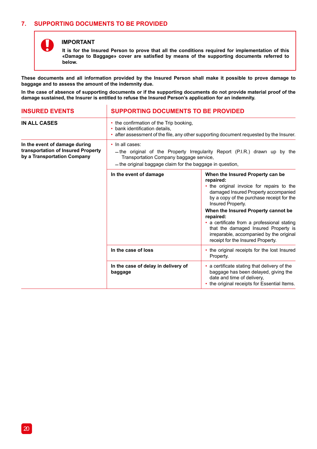## **7. SUPPORTING DOCUMENTS TO BE PROVIDED**

Î.



### **IMPORTANT**

**It is for the Insured Person to prove that all the conditions required for implementation of this «Damage to Baggage» cover are satisfied by means of the supporting documents referred to below.**

**These documents and all information provided by the Insured Person shall make it possible to prove damage to baggage and to assess the amount of the indemnity due.**

**In the case of absence of supporting documents or if the supporting documents do not provide material proof of the damage sustained, the Insurer is entitled to refuse the Insured Person's application for an indemnity.**

| <b>INSURED EVENTS</b>                                                                              | <b>SUPPORTING DOCUMENTS TO BE PROVIDED</b>                                                                                                                           |                                                                                                                                                                                                                                                                                                                                                                                                                                  |
|----------------------------------------------------------------------------------------------------|----------------------------------------------------------------------------------------------------------------------------------------------------------------------|----------------------------------------------------------------------------------------------------------------------------------------------------------------------------------------------------------------------------------------------------------------------------------------------------------------------------------------------------------------------------------------------------------------------------------|
| IN ALL CASES                                                                                       | • the confirmation of the Trip booking,<br>• bank identification details.<br>• after assessment of the file, any other supporting document requested by the Insurer. |                                                                                                                                                                                                                                                                                                                                                                                                                                  |
| In the event of damage during<br>transportation of Insured Property<br>by a Transportation Company | · In all cases:<br>Transportation Company baggage service,<br>- the original baggage claim for the baggage in question,                                              | -the original of the Property Irregularity Report (P.I.R.) drawn up by the                                                                                                                                                                                                                                                                                                                                                       |
|                                                                                                    | In the event of damage                                                                                                                                               | When the Insured Property can be<br>repaired:<br>• the original invoice for repairs to the<br>damaged Insured Property accompanied<br>by a copy of the purchase receipt for the<br>Insured Property.<br>When the Insured Property cannot be<br>repaired:<br>• a certificate from a professional stating<br>that the damaged Insured Property is<br>irreparable, accompanied by the original<br>receipt for the Insured Property. |
|                                                                                                    | In the case of loss                                                                                                                                                  | • the original receipts for the lost Insured<br>Property.                                                                                                                                                                                                                                                                                                                                                                        |
|                                                                                                    | In the case of delay in delivery of<br>baggage                                                                                                                       | • a certificate stating that delivery of the<br>baggage has been delayed, giving the<br>date and time of delivery,<br>the original receipts for Essential Items.                                                                                                                                                                                                                                                                 |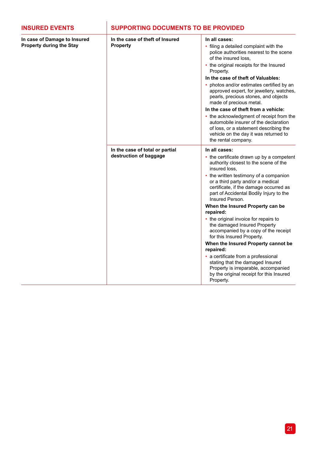| <b>INSURED EVENTS</b>                                    | <b>SUPPORTING DOCUMENTS TO BE PROVIDED</b>                |                                                                                                                                                                                                                                                                                                                                                                                                                                                                                                                                                                                                                                                                                                                                             |
|----------------------------------------------------------|-----------------------------------------------------------|---------------------------------------------------------------------------------------------------------------------------------------------------------------------------------------------------------------------------------------------------------------------------------------------------------------------------------------------------------------------------------------------------------------------------------------------------------------------------------------------------------------------------------------------------------------------------------------------------------------------------------------------------------------------------------------------------------------------------------------------|
| In case of Damage to Insured<br>Property during the Stay | In the case of theft of Insured<br>Property               | In all cases:<br>• filing a detailed complaint with the<br>police authorities nearest to the scene<br>of the insured loss.<br>• the original receipts for the Insured<br>Property.<br>In the case of theft of Valuables:<br>• photos and/or estimates certified by an<br>approved expert, for jewellery, watches,<br>pearls, precious stones, and objects<br>made of precious metal.<br>In the case of theft from a vehicle:<br>• the acknowledgment of receipt from the<br>automobile insurer of the declaration<br>of loss, or a statement describing the<br>vehicle on the day it was returned to<br>the rental company.                                                                                                                 |
|                                                          | In the case of total or partial<br>destruction of baggage | In all cases:<br>• the certificate drawn up by a competent<br>authority closest to the scene of the<br>insured loss.<br>• the written testimony of a companion<br>or a third party and/or a medical<br>certificate, if the damage occurred as<br>part of Accidental Bodily Injury to the<br>Insured Person.<br>When the Insured Property can be<br>repaired:<br>• the original invoice for repairs to<br>the damaged Insured Property<br>accompanied by a copy of the receipt<br>for this Insured Property.<br>When the Insured Property cannot be<br>repaired:<br>· a certificate from a professional<br>stating that the damaged Insured<br>Property is irreparable, accompanied<br>by the original receipt for this Insured<br>Property. |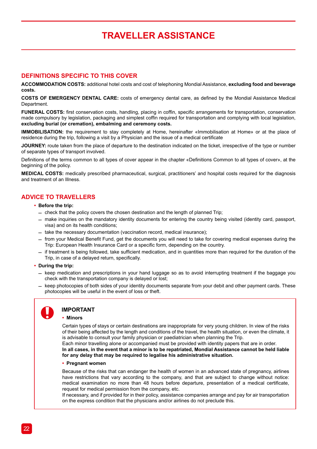## **TRAVELLER ASSISTANCE**

## **DEFINITIONS SPECIFIC TO THIS COVER**

**ACCOMMODATION COSTS:** additional hotel costs and cost of telephoning Mondial Assistance, **excluding food and beverage costs.**

**COSTS OF EMERGENCY DENTAL CARE:** costs of emergency dental care, as defined by the Mondial Assistance Medical **Department** 

**FUNERAL COSTS:** first conservation costs, handling, placing in coffin, specific arrangements for transportation, conservation made compulsory by legislation, packaging and simplest coffin required for transportation and complying with local legislation, **excluding burial (or cremation), embalming and ceremony costs.**

**IMMOBILISATION:** the requirement to stay completely at Home, hereinafter «Immobilisation at Home» or at the place of residence during the trip, following a visit by a Physician and the issue of a medical certificate

**JOURNEY:** route taken from the place of departure to the destination indicated on the ticket, irrespective of the type or number of separate types of transport involved.

Definitions of the terms common to all types of cover appear in the chapter «Definitions Common to all types of cover», at the beginning of the policy.

**MEDICAL COSTS:** medically prescribed pharmaceutical, surgical, practitioners' and hospital costs required for the diagnosis and treatment of an Illness.

## **ADVICE TO TRAVELLERS**

#### **• Before the trip:**

- $-$  check that the policy covers the chosen destination and the length of planned Trip;
- $-$  make inquiries on the mandatory identity documents for entering the country being visited (identity card, passport, visa) and on its health conditions;
- $=$  take the necessary documentation (vaccination record, medical insurance);
- $-$  from your Medical Benefit Fund, get the documents you will need to take for covering medical expenses during the Trip: European Health Insurance Card or a specific form, depending on the country.
- $-$  if treatment is being followed, take sufficient medication, and in quantities more than required for the duration of the Trip, in case of a delayed return, specifically.
- **• During the trip:**
	- $-$  keep medication and prescriptions in your hand luggage so as to avoid interrupting treatment if the baggage you check with the transportation company is delayed or lost;
	- $-$  keep photocopies of both sides of your identity documents separate from your debit and other payment cards. These photocopies will be useful in the event of loss or theft.

## **IMPORTANT**

#### **• Minors**

Certain types of stays or certain destinations are inappropriate for very young children. In view of the risks of their being affected by the length and conditions of the travel, the health situation, or even the climate, it is advisable to consult your family physician or paediatrician when planning the Trip.

Each minor travelling alone or accompanied must be provided with identity papers that are in order. **In all cases, in the event that a minor is to be repatriated, Mondial Assistance cannot be held liable for any delay that may be required to legalise his administrative situation.**

#### **• Pregnant women**

Because of the risks that can endanger the health of women in an advanced state of pregnancy, airlines have restrictions that vary according to the company, and that are subject to change without notice: medical examination no more than 48 hours before departure, presentation of a medical certificate, request for medical permission from the company, etc.

If necessary, and if provided for in their policy, assistance companies arrange and pay for air transportation on the express condition that the physicians and/or airlines do not preclude this.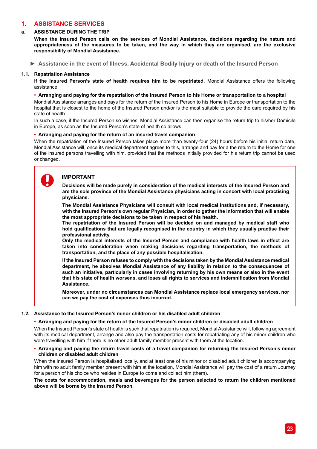## **1. ASSISTANCE SERVICES**

## **a. ASSISTANCE DURING THE TRIP**

**When the Insured Person calls on the services of Mondial Assistance, decisions regarding the nature and appropriateness of the measures to be taken, and the way in which they are organised, are the exclusive responsibility of Mondial Assistance.**

**► Assistance in the event of Illness, Accidental Bodily Injury or death of the Insured Person**

#### **1.1. Repatriation Assistance**

**If the Insured Person's state of health requires him to be repatriated,** Mondial Assistance offers the following assistance:

#### **• Arranging and paying for the repatriation of the Insured Person to his Home or transportation to a hospital**

Mondial Assistance arranges and pays for the return of the Insured Person to his Home in Europe or transportation to the hospital that is closest to the home of the Insured Person and/or is the most suitable to provide the care required by his state of health.

In such a case, if the Insured Person so wishes, Mondial Assistance can then organise the return trip to his/her Domicile in Europe, as soon as the Insured Person's state of health so allows.

#### **• Arranging and paying for the return of an insured travel companion**

When the repatriation of the Insured Person takes place more than twenty-four (24) hours before his initial return date, Mondial Assistance will, once its medical department agrees to this, arrange and pay for a the return to the Home for one of the insured persons travelling with him, provided that the methods initially provided for his return trip cannot be used or changed.

## **IMPORTANT**

**Decisions will be made purely in consideration of the medical interests of the Insured Person and are the sole province of the Mondial Assistance physicians acting in concert with local practising physicians.**

**The Mondial Assistance Physicians will consult with local medical institutions and, if necessary, with the Insured Person's own regular Physician, in order to gather the information that will enable the most appropriate decisions to be taken in respect of his health.**

**The repatriation of the Insured Person will be decided on and managed by medical staff who hold qualifications that are legally recognised in the country in which they usually practise their professional activity.**

**Only the medical interests of the Insured Person and compliance with health laws in effect are taken into consideration when making decisions regarding transportation, the methods of transportation, and the place of any possible hospitalisation.**

**If the Insured Person refuses to comply with the decisions taken by the Mondial Assistance medical department, he absolves Mondial Assistance of any liability in relation to the consequences of such an initiative, particularly in cases involving returning by his own means or also in the event that his state of health worsens, and loses all rights to services and indemnification from Mondial Assistance.**

**Moreover, under no circumstances can Mondial Assistance replace local emergency services, nor can we pay the cost of expenses thus incurred.** 

#### **1.2. Assistance to the Insured Person's minor children or his disabled adult children**

#### **• Arranging and paying for the return of the Insured Person's minor children or disabled adult children**

When the Insured Person's state of health is such that repatriation is required, Mondial Assistance will, following agreement with its medical department, arrange and also pay the transportation costs for repatriating any of his minor children who were travelling with him if there is no other adult family member present with them at the location.

**• Arranging and paying the return travel costs of a travel companion for returning the Insured Person's minor children or disabled adult children**

When the Insured Person is hospitalised locally, and at least one of his minor or disabled adult children is accompanying him with no adult family member present with him at the location, Mondial Assistance will pay the cost of a return Journey for a person of his choice who resides in Europe to come and collect him (them).

**The costs for accommodation, meals and beverages for the person selected to return the children mentioned above will be borne by the Insured Person.**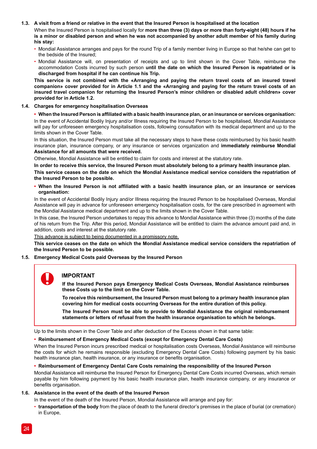#### **1.3. A visit from a friend or relative in the event that the Insured Person is hospitalised at the location**

When the Insured Person is hospitalised locally for **more than three (3) days or more than forty-eight (48) hours if he is a minor or disabled person and when he was not accompanied by another adult member of his family during his stay:** 

- Mondial Assistance arranges and pays for the round Trip of a family member living in Europe so that he/she can get to the bedside of the Insured;
- Mondial Assistance will, on presentation of receipts and up to limit shown in the Cover Table, reimburse the accommodation Costs incurred by such person **until the date on which the Insured Person is repatriated or is discharged from hospital if he can continue his Trip.**

**This service is not combined with the «Arranging and paying the return travel costs of an insured travel companion» cover provided for in Article 1.1 and the «Arranging and paying for the return travel costs of an insured travel companion for returning the Insured Person's minor children or disabled adult children» cover provided for in Article 1.2.**

#### **1.4. Charges for emergency hospitalisation Overseas**

**• When the Insured Person is affiliated with a basic health insurance plan, or an insurance or services organisation:** In the event of Accidental Bodily Injury and/or Illness requiring the Insured Person to be hospitalised, Mondial Assistance will pay for unforeseen emergency hospitalisation costs, following consultation with its medical department and up to the limits shown in the Cover Table.

In this situation, the Insured Person must take all the necessary steps to have these costs reimbursed by his basic health insurance plan, insurance company, or any insurance or services organization and **immediately reimburse Mondial Assistance for all amounts that were received.**

Otherwise, Mondial Assistance will be entitled to claim for costs and interest at the statutory rate.

**In order to receive this service, the Insured Person must absolutely belong to a primary health insurance plan. This service ceases on the date on which the Mondial Assistance medical service considers the repatriation of the Insured Person to be possible.**

#### **• When the Insured Person is not affiliated with a basic health insurance plan, or an insurance or services organisation:**

In the event of Accidental Bodily Injury and/or Illness requiring the Insured Person to be hospitalised Overseas, Mondial Assistance will pay in advance for unforeseen emergency hospitalisation costs, for the care prescribed in agreement with the Mondial Assistance medical department and up to the limits shown in the Cover Table.

In this case, the Insured Person undertakes to repay this advance to Mondial Assistance within three (3) months of the date of his return from the Trip. After this period, Mondial Assistance will be entitled to claim the advance amount paid and, in addition, costs and interest at the statutory rate.

This advance is subject to being documented in a promissory note.

**This service ceases on the date on which the Mondial Assistance medical service considers the repatriation of the Insured Person to be possible.**

#### **1.5. Emergency Medical Costs paid Overseas by the Insured Person**

## **IMPORTANT**

**If the Insured Person pays Emergency Medical Costs Overseas, Mondial Assistance reimburses these Costs up to the limit on the Cover Table.** 

**To receive this reimbursement, the Insured Person must belong to a primary health insurance plan covering him for medical costs occurring Overseas for the entire duration of this policy.**

**The Insured Person must be able to provide to Mondial Assistance the original reimbursement statements or letters of refusal from the health insurance organisation to which he belongs.**

Up to the limits shown in the Cover Table and after deduction of the Excess shown in that same table:

#### **• Reimbursement of Emergency Medical Costs (except for Emergency Dental Care Costs)**

When the Insured Person incurs prescribed medical or hospitalisation costs Overseas, Mondial Assistance will reimburse the costs for which he remains responsible (excluding Emergency Dental Care Costs) following payment by his basic health insurance plan, health insurance, or any insurance or benefits organisation.

#### **• Reimbursement of Emergency Dental Care Costs remaining the responsibility of the Insured Person**

Mondial Assistance will reimburse the Insured Person for Emergency Dental Care Costs incurred Overseas, which remain payable by him following payment by his basic health insurance plan, health insurance company, or any insurance or benefits organisation.

#### **1.6. Assistance in the event of the death of the Insured Person**

In the event of the death of the Insured Person, Mondial Assistance will arrange and pay for:

• **transportation of the body** from the place of death to the funeral director's premises in the place of burial (or cremation) in Europe,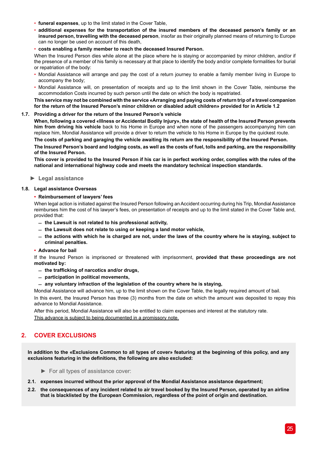- **funeral expenses**, up to the limit stated in the Cover Table,
- **additional expenses for the transportation of the insured members of the deceased person's family or an insured person, travelling with the deceased person**, insofar as their originally planned means of returning to Europe can no longer be used on account of this death,
- **costs enabling a family member to reach the deceased Insured Person.**

When the Insured Person dies while alone at the place where he is staying or accompanied by minor children, and/or if the presence of a member of his family is necessary at that place to identify the body and/or complete formalities for burial or repatriation of the body:

- Mondial Assistance will arrange and pay the cost of a return journey to enable a family member living in Europe to accompany the body;
- Mondial Assistance will, on presentation of receipts and up to the limit shown in the Cover Table, reimburse the accommodation Costs incurred by such person until the date on which the body is repatriated.

**This service may not be combined with the service «Arranging and paying costs of return trip of a travel companion for the return of the Insured Person's minor children or disabled adult children» provided for in Article 1.2**

#### **1.7. Providing a driver for the return of the Insured Person's vehicle**

**When, following a covered «Illness or Accidental Bodily Injury», the state of health of the Insured Person prevents him from driving his vehicle** back to his Home in Europe and when none of the passengers accompanying him can replace him, Mondial Assistance will provide a driver to return the vehicle to his Home in Europe by the quickest route.

**The costs of parking and garaging the vehicle awaiting its return are the responsibility of the Insured Person.** 

**The Insured Person's board and lodging costs, as well as the costs of fuel, tolls and parking, are the responsibility of the Insured Person.** 

**This cover is provided to the Insured Person if his car is in perfect working order, complies with the rules of the national and international highway code and meets the mandatory technical inspection standards.**

**► Legal assistance**

#### **1.8. Legal assistance Overseas**

#### **• Reimbursement of lawyers' fees**

When legal action is initiated against the Insured Person following an Accident occurring during his Trip, Mondial Assistance reimburses him the cost of his lawyer's fees, on presentation of receipts and up to the limit stated in the Cover Table and, provided that:

- ̛ **the Lawsuit is not related to his professional activity,**
- ̛ **the Lawsuit does not relate to using or keeping a land motor vehicle,**
- $-$  the actions with which he is charged are not, under the laws of the country where he is staying, subject to **criminal penalties.**

#### **• Advance for bail**

If the Insured Person is imprisoned or threatened with imprisonment, **provided that these proceedings are not motivated by:**

- ̛ **the trafficking of narcotics and/or drugs,**
- ̛ **participation in political movements,**
- ̛ **any voluntary infraction of the legislation of the country where he is staying,**

Mondial Assistance will advance him, up to the limit shown on the Cover Table, the legally required amount of bail. In this event, the Insured Person has three (3) months from the date on which the amount was deposited to repay this advance to Mondial Assistance.

After this period, Mondial Assistance will also be entitled to claim expenses and interest at the statutory rate. This advance is subject to being documented in a promissory note.

## **2. COVER EXCLUSIONS**

**In addition to the «Exclusions Common to all types of cover» featuring at the beginning of this policy, and any exclusions featuring in the definitions, the following are also excluded:**

- ► For all types of assistance cover:
- **2.1. expenses incurred without the prior approval of the Mondial Assistance assistance department;**
- **2.2. the consequences of any incident related to air travel booked by the Insured Person, operated by an airline that is blacklisted by the European Commission, regardless of the point of origin and destination.**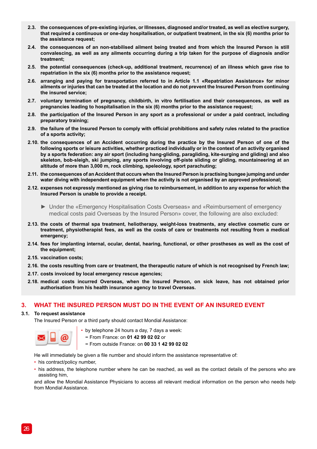- **2.3. the consequences of pre-existing injuries, or Illnesses, diagnosed and/or treated, as well as elective surgery, that required a continuous or one-day hospitalisation, or outpatient treatment, in the six (6) months prior to the assistance request;**
- **2.4. the consequences of an non-stabilised ailment being treated and from which the Insured Person is still convalescing, as well as any ailments occurring during a trip taken for the purpose of diagnosis and/or treatment;**
- **2.5. the potential consequences (check-up, additional treatment, recurrence) of an illness which gave rise to repatriation in the six (6) months prior to the assistance request;**
- **2.6. arranging and paying for transportation referred to in Article 1.1 «Repatriation Assistance» for minor ailments or injuries that can be treated at the location and do not prevent the Insured Person from continuing the insured service;**
- **2.7. voluntary termination of pregnancy, childbirth, in vitro fertilisation and their consequences, as well as pregnancies leading to hospitalisation in the six (6) months prior to the assistance request;**
- **2.8. the participation of the Insured Person in any sport as a professional or under a paid contract, including preparatory training;**
- **2.9. the failure of the Insured Person to comply with official prohibitions and safety rules related to the practice of a sports activity;**
- **2.10. the consequences of an Accident occurring during the practice by the Insured Person of one of the following sports or leisure activities, whether practiced individually or in the context of an activity organised by a sports federation: any air sport (including hang-gliding, paragliding, kite-surging and gliding) and also skeleton, bob-sleigh, ski jumping, any sports involving off-piste sliding or gliding, mountaineering at an altitude of more than 3,000 m, rock climbing, speleology, sport parachuting;**
- **2.11. the consequences of an Accident that occurs when the Insured Person is practising bungee jumping and under water diving with independent equipment when the activity is not organised by an approved professional;**
- **2.12. expenses not expressly mentioned as giving rise to reimbursement, in addition to any expense for which the Insured Person is unable to provide a receipt.**
	- ► Under the «Emergency Hospitalisation Costs Overseas» and «Reimbursement of emergency medical costs paid Overseas by the Insured Person» cover, the following are also excluded:
- **2.13. the costs of thermal spa treatment, heliotherapy, weight-loss treatments, any elective cosmetic cure or treatment, physiotherapist fees, as well as the costs of care or treatments not resulting from a medical emergency;**
- **2.14. fees for implanting internal, ocular, dental, hearing, functional, or other prostheses as well as the cost of the equipment;**
- **2.15. vaccination costs;**
- **2.16. the costs resulting from care or treatment, the therapeutic nature of which is not recognised by French law;**
- **2.17. costs invoiced by local emergency rescue agencies;**
- **2.18. medical costs incurred Overseas, when the Insured Person, on sick leave, has not obtained prior authorisation from his health insurance agency to travel Overseas.**

## **3. WHAT THE INSURED PERSON MUST DO IN THE EVENT OF AN INSURED EVENT**

#### **3.1. To request assistance**

The Insured Person or a third party should contact Mondial Assistance:



• by telephone 24 hours a day, 7 days a week:

**−** From France: on **01 42 99 02 02** or

**−** From outside France: on **00 33 1 42 99 02 02** 

He will immediately be given a file number and should inform the assistance representative of:

- his contract/policy number,
- his address, the telephone number where he can be reached, as well as the contact details of the persons who are assisting him,

and allow the Mondial Assistance Physicians to access all relevant medical information on the person who needs help from Mondial Assistance.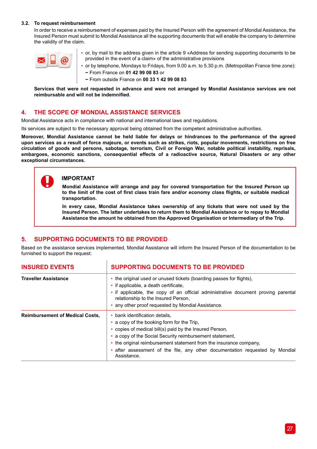#### **3.2. To request reimbursement**

In order to receive a reimbursement of expenses paid by the Insured Person with the agreement of Mondial Assistance, the Insured Person must submit to Mondial Assistance all the supporting documents that will enable the company to determine the validity of the claim.



• or, by mail to the address given in the article 9 «Address for sending supporting documents to be provided in the event of a claim» of the administrative provisions

• or by telephone, Mondays to Fridays, from 9.00 a.m. to 5.30 p.m. (Metropolitan France time zone): **−** From France on **01 42 99 08 83** or

**−** From outside France on **00 33 1 42 99 08 83**

**Services that were not requested in advance and were not arranged by Mondial Assistance services are not reimbursable and will not be indemnified.**

## **4. THE SCOPE OF MONDIAL ASSISTANCE SERVICES**

Mondial Assistance acts in compliance with national and international laws and regulations.

Its services are subject to the necessary approval being obtained from the competent administrative authorities.

**Moreover, Mondial Assistance cannot be held liable for delays or hindrances to the performance of the agreed upon services as a result of force majeure, or events such as strikes, riots, popular movements, restrictions on free circulation of goods and persons, sabotage, terrorism, Civil or Foreign War, notable political instability, reprisals, embargoes, economic sanctions, consequential effects of a radioactive source, Natural Disasters or any other exceptional circumstances.**

#### **IMPORTANT**

**Mondial Assistance will arrange and pay for covered transportation for the Insured Person up to the limit of the cost of first class train fare and/or economy class flights, or suitable medical transportation.**

**In every case, Mondial Assistance takes ownership of any tickets that were not used by the Insured Person. The latter undertakes to return them to Mondial Assistance or to repay to Mondial Assistance the amount he obtained from the Approved Organisation or Intermediary of the Trip.**

## **5. SUPPORTING DOCUMENTS TO BE PROVIDED**

h,

Based on the assistance services implemented, Mondial Assistance will inform the Insured Person of the documentation to be furnished to support the request:

| <b>INSURED EVENTS</b>                  | <b>SUPPORTING DOCUMENTS TO BE PROVIDED</b>                                                                                                                                                                                                                                                                                                                             |
|----------------------------------------|------------------------------------------------------------------------------------------------------------------------------------------------------------------------------------------------------------------------------------------------------------------------------------------------------------------------------------------------------------------------|
| <b>Traveller Assistance</b>            | • the original used or unused tickets (boarding passes for flights),<br>• if applicable, a death certificate,<br>• if applicable, the copy of an official administrative document proving parental<br>relationship to the Insured Person,<br>• any other proof requested by Mondial Assistance.                                                                        |
| <b>Reimbursement of Medical Costs.</b> | bank identification details.<br>• a copy of the booking form for the Trip.<br>• copies of medical bill(s) paid by the Insured Person,<br>• a copy of the Social Security reimbursement statement,<br>• the original reimbursement statement from the insurance company,<br>• after assessment of the file, any other documentation requested by Mondial<br>Assistance. |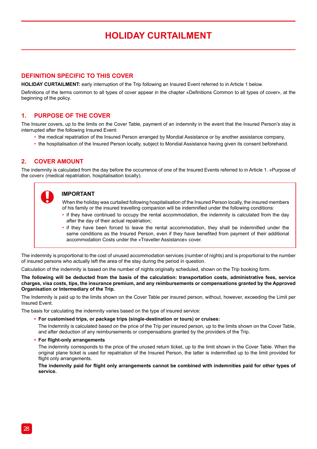## **HOLIDAY CURTAILMENT**

## **DEFINITION SPECIFIC TO THIS COVER**

**HOLIDAY CURTAILMENT:** early interruption of the Trip following an Insured Event referred to in Article 1 below.

Definitions of the terms common to all types of cover appear in the chapter «Definitions Common to all types of cover», at the beginning of the policy.

## **1. PURPOSE OF THE COVER**

The Insurer covers, up to the limits on the Cover Table, payment of an indemnity in the event that the Insured Person's stay is interrupted after the following Insured Event:

- the medical repatriation of the Insured Person arranged by Mondial Assistance or by another assistance company,
- the hospitalisation of the Insured Person locally, subject to Mondial Assistance having given its consent beforehand.

## **2. COVER AMOUNT**

The indemnity is calculated from the day before the occurrence of one of the Insured Events referred to in Article 1. «Purpose of the cover» (medical repatriation, hospitalisation locally).

## **IMPORTANT**

When the holiday was curtailed following hospitalisation of the Insured Person locally, the insured members of his family or the insured travelling companion will be indemnified under the following conditions:

- if they have continued to occupy the rental accommodation, the indemnity is calculated from the day after the day of their actual repatriation;
- if they have been forced to leave the rental accommodation, they shall be indemnified under the same conditions as the Insured Person, even if they have benefited from payment of their additional accommodation Costs under the «Traveller Assistance» cover.

The indemnity is proportional to the cost of unused accommodation services (number of nights) and is proportional to the number of insured persons who actually left the area of the stay during the period in question.

Calculation of the indemnity is based on the number of nights originally scheduled, shown on the Trip booking form.

**The following will be deducted from the basis of the calculation: transportation costs, administrative fees, service charges, visa costs, tips, the insurance premium, and any reimbursements or compensations granted by the Approved Organisation or Intermediary of the Trip.**

The Indemnity is paid up to the limits shown on the Cover Table per insured person, without, however, exceeding the Limit per Insured Event.

The basis for calculating the indemnity varies based on the type of insured service:

**• For customised trips, or package trips (single-destination or tours) or cruises:**

The Indemnity is calculated based on the price of the Trip per insured person, up to the limits shown on the Cover Table, and after deduction of any reimbursements or compensations granted by the providers of the Trip.

**• For flight-only arrangements**

The indemnity corresponds to the price of the unused return ticket, up to the limit shown in the Cover Table. When the original plane ticket is used for repatriation of the Insured Person, the latter is indemnified up to the limit provided for flight only arrangements.

**The indemnity paid for flight only arrangements cannot be combined with indemnities paid for other types of service.**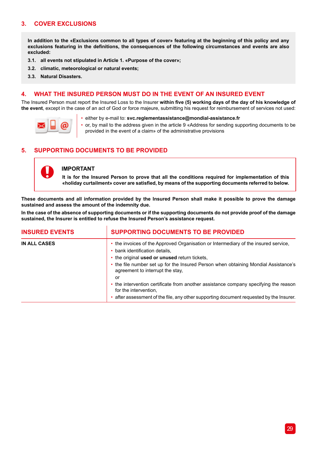## **3. COVER EXCLUSIONS**

**In addition to the «Exclusions common to all types of cover» featuring at the beginning of this policy and any exclusions featuring in the definitions, the consequences of the following circumstances and events are also excluded:**

- **3.1. all events not stipulated in Article 1. «Purpose of the cover»;**
- **3.2. climatic, meteorological or natural events;**
- **3.3. Natural Disasters.**

## **4. WHAT THE INSURED PERSON MUST DO IN THE EVENT OF AN INSURED EVENT**

The Insured Person must report the Insured Loss to the Insurer **within five (5) working days of the day of his knowledge of the event**, except in the case of an act of God or force majeure, submitting his request for reimbursement of services not used:



• either by e-mail to: **svc.reglementassistance@mondial-assistance.fr**

or, by mail to the address given in the article 9 «Address for sending supporting documents to be provided in the event of a claim» of the administrative provisions

## **5. SUPPORTING DOCUMENTS TO BE PROVIDED**



## **IMPORTANT**

**It is for the Insured Person to prove that all the conditions required for implementation of this «holiday curtailment» cover are satisfied, by means of the supporting documents referred to below.**

**These documents and all information provided by the Insured Person shall make it possible to prove the damage sustained and assess the amount of the indemnity due.**

**In the case of the absence of supporting documents or if the supporting documents do not provide proof of the damage sustained, the Insurer is entitled to refuse the Insured Person's assistance request.**

| <b>INSURED EVENTS</b> | <b>SUPPORTING DOCUMENTS TO BE PROVIDED</b>                                                                                                                                                               |
|-----------------------|----------------------------------------------------------------------------------------------------------------------------------------------------------------------------------------------------------|
| <b>IN ALL CASES</b>   | • the invoices of the Approved Organisation or Intermediary of the insured service,<br>• bank identification details,<br>• the original used or unused return tickets,                                   |
|                       | • the file number set up for the Insured Person when obtaining Mondial Assistance's<br>agreement to interrupt the stay.<br>or                                                                            |
|                       | • the intervention certificate from another assistance company specifying the reason<br>for the intervention.<br>• after assessment of the file, any other supporting document requested by the Insurer. |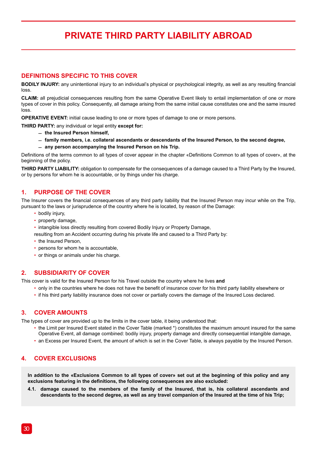## **PRIVATE THIRD PARTY LIABILITY ABROAD**

## **DEFINITIONS SPECIFIC TO THIS COVER**

**BODILY INJURY:** any unintentional injury to an individual's physical or psychological integrity, as well as any resulting financial loss

**CLAIM:** all prejudicial consequences resulting from the same Operative Event likely to entail implementation of one or more types of cover in this policy. Consequently, all damage arising from the same initial cause constitutes one and the same insured loss

**OPERATIVE EVENT:** initial cause leading to one or more types of damage to one or more persons.

**THIRD PARTY:** any individual or legal entity **except for:**

- ̛ **the Insured Person himself,**
- ̛ **family members, i.e. collateral ascendants or descendants of the Insured Person, to the second degree,**
- $-$  any person accompanying the Insured Person on his Trip.

Definitions of the terms common to all types of cover appear in the chapter «Definitions Common to all types of cover», at the beginning of the policy.

**THIRD PARTY LIABILITY:** obligation to compensate for the consequences of a damage caused to a Third Party by the Insured, or by persons for whom he is accountable, or by things under his charge.

## **1. PURPOSE OF THE COVER**

The Insurer covers the financial consequences of any third party liability that the Insured Person may incur while on the Trip, pursuant to the laws or jurisprudence of the country where he is located, by reason of the Damage:

- bodily injury,
- property damage,
- intangible loss directly resulting from covered Bodily Injury or Property Damage,
- resulting from an Accident occurring during his private life and caused to a Third Party by:
- the Insured Person,
- persons for whom he is accountable,
- or things or animals under his charge.

## **2. SUBSIDIARITY OF COVER**

This cover is valid for the Insured Person for his Travel outside the country where he lives **and**

- only in the countries where he does not have the benefit of insurance cover for his third party liability elsewhere or
- if his third party liability insurance does not cover or partially covers the damage of the Insured Loss declared.

## **3. COVER AMOUNTS**

The types of cover are provided up to the limits in the cover table, it being understood that:

- the Limit per Insured Event stated in the Cover Table (marked \*) constitutes the maximum amount insured for the same Operative Event, all damage combined: bodily injury, property damage and directly consequential intangible damage,
- an Excess per Insured Event, the amount of which is set in the Cover Table, is always payable by the Insured Person.

## **4. COVER EXCLUSIONS**

**In addition to the «Exclusions Common to all types of cover» set out at the beginning of this policy and any exclusions featuring in the definitions, the following consequences are also excluded:** 

**4.1. damage caused to the members of the family of the Insured, that is, his collateral ascendants and descendants to the second degree, as well as any travel companion of the Insured at the time of his Trip;**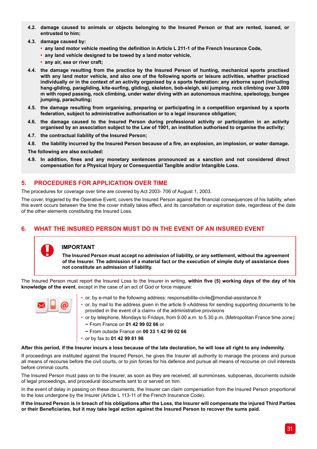- **4.2. damage caused to animals or objects belonging to the Insured Person or that are rented, loaned, or entrusted to him;**
- **4.3. damage caused by:** 
	- **• any land motor vehicle meeting the definition in Article L 211-1 of the French Insurance Code,**
	- **• any land vehicle designed to be towed by a land motor vehicle,**
	- **• any air, sea or river craft;**
- **4.4. the damage resulting from the practice by the Insured Person of hunting, mechanical sports practised with any land motor vehicle, and also one of the following sports or leisure activities, whether practiced individually or in the context of an activity organised by a sports federation: any airborne sport (including hang-gliding, paragliding, kite-surfing, gliding), skeleton, bob-sleigh, ski jumping, rock climbing over 3,000 m with roped passing, rock climbing, under water diving with an autonomous machine, speleology, bungee jumping, parachuting;**
- **4.5. the damage resulting from organising, preparing or participating in a competition organised by a sports federation, subject to administrative authorisation or to a legal insurance obligation;**
- **4.6. the damage caused to the Insured Person during professional activity or participation in an activity organised by an association subject to the Law of 1901, an institution authorised to organise the activity;**
- **4.7. the contractual liability of the Insured Person;**
- **4.8. the liability incurred by the Insured Person because of a fire, an explosion, an implosion, or water damage.**

**The following are also excluded:**

**4.9. In addition, fines and any monetary sentences pronounced as a sanction and not considered direct compensation for a Physical Injury or Consequential Tangible and/or Intangible Loss.**

## **5. PROCEDURES FOR APPLICATION OVER TIME**

The procedures for coverage over time are covered by Act 2003- 706 of August 1, 2003.

The cover, triggered by the Operative Event, covers the Insured Person against the financial consequences of his liability, when this event occurs between the time the cover initially takes effect, and its cancellation or expiration date, regardless of the date of the other elements constituting the Insured Loss.

## **6. WHAT THE INSURED PERSON MUST DO IN THE EVENT OF AN INSURED EVENT**



**The Insured Person must accept no admission of liability, or any settlement, without the agreement of the Insurer. The admission of a material fact or the execution of simple duty of assistance does not constitute an admission of liability.**

The Insured Person must report the Insured Loss to the Insurer in writing, **within five (5) working days of the day of his knowledge of the event**, except in the case of an act of God or force majeure:



- or, by e-mail to the following address: responsabilite-civile@mondial-assistance.fr
- or, by mail to the address given in the article 9 «Address for sending supporting documents to be provided in the event of a claim» of the administrative provisions
- or by telephone, Mondays to Fridays, from 9.00 a.m. to 5.30 p.m. (Metropolitan France time zone): **−** From France on **01 42 99 02 66** or
	- **−** From outside France on **00 33 1 42 99 02 66**
- or by fax to **01 42 99 81 98**

#### **After this period, if the Insurer incurs a loss because of the late declaration, he will lose all right to any indemnity.**

If proceedings are instituted against the Insured Person, he gives the Insurer all authority to manage the process and pursue all means of recourse before the civil courts, or to join forces for his defence and pursue all means of recourse on civil interests before criminal courts.

The Insured Person must pass on to the Insurer, as soon as they are received, all summonses, subpoenas, documents outside of legal proceedings, and procedural documents sent to or served on him.

In the event of delay in passing on these documents, the Insurer can claim compensation from the Insured Person proportional to the loss undergone by the Insurer (Article L 113-11 of the French Insurance Code).

**If the Insured Person is in breach of his obligations after the Loss, the Insurer will compensate the injured Third Parties or their Beneficiaries, but it may take legal action against the Insured Person to recover the sums paid.**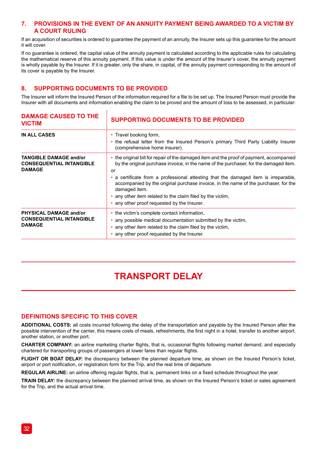## **7. PROVISIONS IN THE EVENT OF AN ANNUITY PAYMENT BEING AWARDED TO A VICTIM BY A COURT RULING**

If an acquisition of securities is ordered to guarantee the payment of an annuity, the Insurer sets up this guarantee for the amount it will cover.

If no guarantee is ordered, the capital value of the annuity payment is calculated according to the applicable rules for calculating the mathematical reserve of this annuity payment. If this value is under the amount of the Insurer's cover, the annuity payment is wholly payable by the Insurer. If it is greater, only the share, in capital, of the annuity payment corresponding to the amount of its cover is payable by the Insurer.

## **8. SUPPORTING DOCUMENTS TO BE PROVIDED**

The Insurer will inform the Insured Person of the information required for a file to be set up. The Insured Person must provide the Insurer with all documents and information enabling the claim to be proved and the amount of loss to be assessed, in particular:

| <b>DAMAGE CAUSED TO THE</b><br><b>VICTIM</b>                                      | <b>SUPPORTING DOCUMENTS TO BE PROVIDED</b><br>• Travel booking form,<br>the refusal letter from the Insured Person's primary Third Party Liability Insurer<br>(comprehensive home insurer).                                                                                                                                                                                                                                                                                                     |  |
|-----------------------------------------------------------------------------------|-------------------------------------------------------------------------------------------------------------------------------------------------------------------------------------------------------------------------------------------------------------------------------------------------------------------------------------------------------------------------------------------------------------------------------------------------------------------------------------------------|--|
| <b>IN ALL CASES</b>                                                               |                                                                                                                                                                                                                                                                                                                                                                                                                                                                                                 |  |
| <b>TANGIBLE DAMAGE and/or</b><br><b>CONSEQUENTIAL INTANGIBLE</b><br><b>DAMAGE</b> | the original bill for repair of the damaged item and the proof of payment, accompanied<br>by the original purchase invoice, in the name of the purchaser, for the damaged item.<br>or<br>a certificate from a professional attesting that the damaged item is irreparable.<br>accompanied by the original purchase invoice, in the name of the purchaser, for the<br>damaged item.<br>• any other item related to the claim filed by the victim,<br>• any other proof requested by the Insurer. |  |
| PHYSICAL DAMAGE and/or<br><b>CONSEQUENTIAL INTANGIBLE</b><br><b>DAMAGE</b>        | the victim's complete contact information,<br>any possible medical documentation submitted by the victim.<br>٠<br>• any other item related to the claim filed by the victim,<br>any other proof requested by the Insurer.                                                                                                                                                                                                                                                                       |  |

## **TRANSPORT DELAY**

### **DEFINITIONS SPECIFIC TO THIS COVER**

**ADDITIONAL COSTS:** all costs incurred following the delay of the transportation and payable by the Insured Person after the possible intervention of the carrier, this means costs of meals, refreshments, the first night in a hotel, transfer to another airport, another station, or another port.

**CHARTER COMPANY:** an airline marketing charter flights, that is, occasional flights following market demand, and especially chartered for transporting groups of passengers at lower fares than regular flights.

**FLIGHT OR BOAT DELAY:** the discrepancy between the planned departure time, as shown on the Insured Person's ticket, airport or port notification, or registration form for the Trip, and the real time of departure.

**REGULAR AIRLINE:** an airline offering regular flights, that is, permanent links on a fixed schedule throughout the year.

**TRAIN DELAY:** the discrepancy between the planned arrival time, as shown on the Insured Person's ticket or sales agreement for the Trip, and the actual arrival time.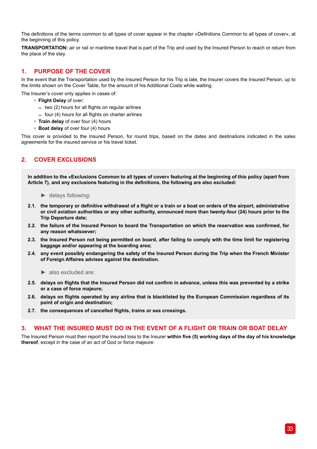The definitions of the terms common to all types of cover appear in the chapter «Definitions Common to all types of cover», at the beginning of this policy.

**TRANSPORTATION:** air or rail or maritime travel that is part of the Trip and used by the Insured Person to reach or return from the place of the stay.

## **1. PURPOSE OF THE COVER**

In the event that the Transportation used by the Insured Person for his Trip is late, the Insurer covers the Insured Person, up to the limits shown on the Cover Table, for the amount of his Additional Costs while waiting.

The Insurer's cover only applies in cases of:

- **Flight Delay** of over:
	- $-$  two (2) hours for all flights on regular airlines
	- $=$  four (4) hours for all flights on charter airlines
- **Train delay** of over four (4) hours
- **Boat delay** of over four (4) hours

This cover is provided to the Insured Person, for round trips, based on the dates and destinations indicated in the sales agreements for the insured service or his travel ticket.

## **2. COVER EXCLUSIONS**

**In addition to the «Exclusions Common to all types of cover» featuring at the beginning of this policy (apart from Article 7), and any exclusions featuring in the definitions, the following are also excluded:**

- ► delays following:
- **2.1. the temporary or definitive withdrawal of a flight or a train or a boat on orders of the airport, administrative or civil aviation authorities or any other authority, announced more than twenty-four (24) hours prior to the Trip Departure date;**
- **2.2. the failure of the Insured Person to board the Transportation on which the reservation was confirmed, for any reason whatsoever;**
- **2.3. the Insured Person not being permitted on board, after failing to comply with the time limit for registering baggage and/or appearing at the boarding area;**
- **2.4. any event possibly endangering the safety of the Insured Person during the Trip when the French Minister of Foreign Affaires advises against the destination.**
	- ► also excluded are:
- **2.5. delays on flights that the Insured Person did not confirm in advance, unless this was prevented by a strike or a case of force majeure;**
- **2.6. delays on flights operated by any airline that is blacklisted by the European Commission regardless of its point of origin and destination;**
- **2.7. the consequences of cancelled flights, trains or sea crossings.**

### **3. WHAT THE INSURED MUST DO IN THE EVENT OF A FLIGHT OR TRAIN OR BOAT DELAY**

The Insured Person must then report the insured loss to the Insurer **within five (5) working days of the day of his knowledge thereof**, except in the case of an act of God or force majeure: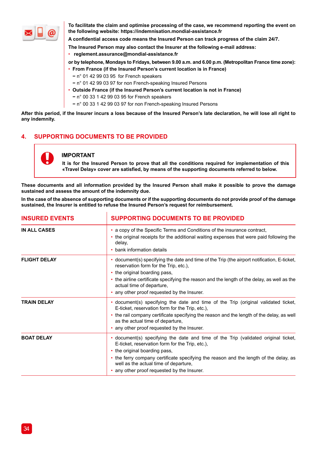

**To facilitate the claim and optimise processing of the case, we recommend reporting the event on the following website: https://indemnisation.mondial-assistance.fr**

**A confidential access code means the Insured Person can track progress of the claim 24/7.** 

- **The Insured Person may also contact the Insurer at the following e-mail address:**
- • **reglement.assurance@mondial-assistance.fr**
- **or by telephone, Mondays to Fridays, between 9.00 a.m. and 6.00 p.m. (Metropolitan France time zone):**
- **From France (if the Insured Person's current location is in France)**
	- **−** n° 01 42 99 03 95 for French speakers
	- **−** n° 01 42 99 03 97 for non French-speaking Insured Persons
- **Outside France (if the Insured Person's current location is not in France)**
	- **−** n° 00 33 1 42 99 03 95 for French speakers
	- **−** n° 00 33 1 42 99 03 97 for non French-speaking Insured Persons

**After this period, if the Insurer incurs a loss because of the Insured Person's late declaration, he will lose all right to any indemnity.**

## **4. SUPPORTING DOCUMENTS TO BE PROVIDED**

J.

## **IMPORTANT**

**It is for the Insured Person to prove that all the conditions required for implementation of this «Travel Delay» cover are satisfied, by means of the supporting documents referred to below.**

**These documents and all information provided by the Insured Person shall make it possible to prove the damage sustained and assess the amount of the indemnity due.**

**In the case of the absence of supporting documents or if the supporting documents do not provide proof of the damage sustained, the Insurer is entitled to refuse the Insured Person's request for reimbursement.**

| <b>INSURED EVENTS</b> | <b>SUPPORTING DOCUMENTS TO BE PROVIDED</b><br>• a copy of the Specific Terms and Conditions of the insurance contract,<br>• the original receipts for the additional waiting expenses that were paid following the<br>delay,<br>• bank information details                                                                                          |  |
|-----------------------|-----------------------------------------------------------------------------------------------------------------------------------------------------------------------------------------------------------------------------------------------------------------------------------------------------------------------------------------------------|--|
| IN ALL CASES          |                                                                                                                                                                                                                                                                                                                                                     |  |
| <b>FLIGHT DELAY</b>   | document(s) specifying the date and time of the Trip (the airport notification, E-ticket,<br>reservation form for the Trip, etc.),<br>• the original boarding pass,<br>• the airline certificate specifying the reason and the length of the delay, as well as the<br>actual time of departure,<br>• any other proof requested by the Insurer.      |  |
| <b>TRAIN DELAY</b>    | document(s) specifying the date and time of the Trip (original validated ticket,<br>E-ticket, reservation form for the Trip, etc.).<br>the rail company certificate specifying the reason and the length of the delay, as well<br>as the actual time of departure,<br>any other proof requested by the Insurer.                                     |  |
| <b>BOAT DELAY</b>     | document(s) specifying the date and time of the Trip (validated original ticket,<br>E-ticket, reservation form for the Trip, etc.),<br>• the original boarding pass,<br>the ferry company certificate specifying the reason and the length of the delay, as<br>well as the actual time of departure,<br>• any other proof requested by the Insurer. |  |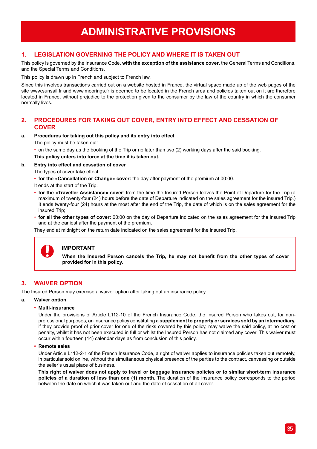## **ADMINISTRATIVE PROVISIONS**

## **1. LEGISLATION GOVERNING THE POLICY AND WHERE IT IS TAKEN OUT**

This policy is governed by the Insurance Code, **with the exception of the assistance cover**, the General Terms and Conditions, and the Special Terms and Conditions.

This policy is drawn up in French and subject to French law.

Since this involves transactions carried out on a website hosted in France, the virtual space made up of the web pages of the site www.sunsail.fr and www.moorings.fr is deemed to be located in the French area and policies taken out on it are therefore located in France, without prejudice to the protection given to the consumer by the law of the country in which the consumer normally lives.

## **2. PROCEDURES FOR TAKING OUT COVER, ENTRY INTO EFFECT AND CESSATION OF COVER**

#### **a. Procedures for taking out this policy and its entry into effect**

The policy must be taken out:

• on the same day as the booking of the Trip or no later than two (2) working days after the said booking.

**This policy enters into force at the time it is taken out.** 

#### **b. Entry into effect and cessation of cover**

The types of cover take effect:

• **for the «Cancellation or Change» cover:** the day after payment of the premium at 00:00.

It ends at the start of the Trip.

- **for the «Traveller Assistance» cover**: from the time the Insured Person leaves the Point of Departure for the Trip (a maximum of twenty-four (24) hours before the date of Departure indicated on the sales agreement for the insured Trip.) It ends twenty-four (24) hours at the most after the end of the Trip, the date of which is on the sales agreement for the insured Trip;
- **for all the other types of cover:** 00:00 on the day of Departure indicated on the sales agreement for the insured Trip and at the earliest after the payment of the premium.

They end at midnight on the return date indicated on the sales agreement for the insured Trip.



## **IMPORTANT**

**When the Insured Person cancels the Trip, he may not benefit from the other types of cover provided for in this policy.**

## **3. WAIVER OPTION**

The Insured Person may exercise a waiver option after taking out an insurance policy.

#### **a. Waiver option**

#### **• Multi-insurance**

Under the provisions of Article L112-10 of the French Insurance Code, the Insured Person who takes out, for nonprofessional purposes, an insurance policy constituting **a supplement to property or services sold by an intermediary,**  if they provide proof of prior cover for one of the risks covered by this policy, may waive the said policy, at no cost or penalty, whilst it has not been executed in full or whilst the Insured Person has not claimed any cover. This waiver must occur within fourteen (14) calendar days as from conclusion of this policy.

**• Remote sales**

Under Article L112-2-1 of the French Insurance Code, a right of waiver applies to insurance policies taken out remotely, in particular sold online, without the simultaneous physical presence of the parties to the contract, canvassing or outside the seller's usual place of business.

**This right of waiver does not apply to travel or baggage insurance policies or to similar short-term insurance policies of a duration of less than one (1) month.** The duration of the insurance policy corresponds to the period between the date on which it was taken out and the date of cessation of all cover.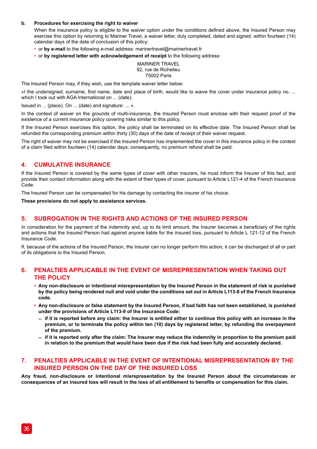#### **b. Procedures for exercising the right to waiver**

When the insurance policy is eligible to the waiver option under the conditions defined above, the Insured Person may exercise this option by returning to Mariner Travel, a waiver letter, duly completed, dated and signed, within fourteen (14) calendar days of the date of conclusion of this policy:

- or **by e-mail** to the following e-mail address: marinertravel@marinertravel.fr
- or **by registered letter with acknowledgement of receipt** to the following address:

MARINER TRAVEL 92, rue de Richelieu 75002 Paris

The Insured Person may, if they wish, use the template waiver letter below:

«I the undersigned, surname, first name, date and place of birth, would like to waive the cover under insurance policy no. ... which I took out with AGA International on ... (date).

Issued in ... (place). On ... (date) and signature: ... «.

In the context of waiver on the grounds of multi-insurance, the Insured Person must enclose with their request proof of the existence of a current insurance policy covering risks similar to this policy.

If the Insured Person exercises this option, the policy shall be terminated on its effective date. The Insured Person shall be refunded the corresponding premium within thirty (30) days of the date of receipt of their waiver request.

The right of waiver may not be exercised if the Insured Person has implemented the cover in this insurance policy in the context of a claim filed within fourteen (14) calendar days; consequently, no premium refund shall be paid.

### **4. CUMULATIVE INSURANCE**

If the Insured Person is covered by the same types of cover with other insurers, he must inform the Insurer of this fact, and provide their contact information along with the extent of their types of cover, pursuant to Article L121-4 of the French Insurance Code.

The Insured Person can be compensated for his damage by contacting the insurer of his choice.

**These provisions do not apply to assistance services.**

### **5. SUBROGATION IN THE RIGHTS AND ACTIONS OF THE INSURED PERSON**

In consideration for the payment of the indemnity and, up to its limit amount, the Insurer becomes a beneficiary of the rights and actions that the Insured Person had against anyone liable for the insured loss, pursuant to Article L 121-12 of the French Insurance Code.

If, because of the actions of the Insured Person, the Insurer can no longer perform this action, it can be discharged of all or part of its obligations to the Insured Person.

### **6. PENALTIES APPLICABLE IN THE EVENT OF MISREPRESENTATION WHEN TAKING OUT THE POLICY**

- **• Any non-disclosure or intentional misrepresentation by the Insured Person in the statement of risk is punished by the policy being rendered null and void under the conditions set out in Article L113-8 of the French Insurance code.**
- **• Any non-disclosure or false statement by the Insured Person, if bad faith has not been established, is punished under the provisions of Article L113-9 of the Insurance Code:**
	- $-$  if it is reported before any claim: the Insurer is entitled either to continue this policy with an increase in the **premium, or to terminate the policy within ten (10) days by registered letter, by refunding the overpayment of the premium.**
	- $-$  if it is reported only after the claim: The Insurer may reduce the indemnity in proportion to the premium paid **in relation to the premium that would have been due if the risk had been fully and accurately declared.**

## **7. PENALTIES APPLICABLE IN THE EVENT OF INTENTIONAL MISREPRESENTATION BY THE INSURED PERSON ON THE DAY OF THE INSURED LOSS**

**Any fraud, non-disclosure or intentional misrepresentation by the Insured Person about the circumstances or consequences of an insured loss will result in the loss of all entitlement to benefits or compensation for this claim.**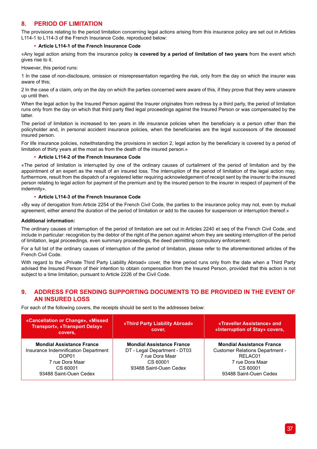## **8. PERIOD OF LIMITATION**

The provisions relating to the period limitation concerning legal actions arising from this insurance policy are set out in Articles L114-1 to L114-3 of the French Insurance Code, reproduced below:

#### **• Article L114-1 of the French Insurance Code**

«Any legal action arising from the insurance policy **is covered by a period of limitation of two years** from the event which gives rise to it.

However, this period runs:

1 In the case of non-disclosure, omission or misrepresentation regarding the risk, only from the day on which the insurer was aware of this;

2 In the case of a claim, only on the day on which the parties concerned were aware of this, if they prove that they were unaware up until then.

When the legal action by the Insured Person against the Insurer originates from redress by a third party, the period of limitation runs only from the day on which that third party filed legal proceedings against the Insured Person or was compensated by the latter.

The period of limitation is increased to ten years in life insurance policies when the beneficiary is a person other than the policyholder and, in personal accident insurance policies, when the beneficiaries are the legal successors of the deceased insured person.

For life insurance policies, notwithstanding the provisions in section 2, legal action by the beneficiary is covered by a period of limitation of thirty years at the most as from the death of the insured person.»

### **• Article L114-2 of the French Insurance Code**

«The period of limitation is interrupted by one of the ordinary causes of curtailment of the period of limitation and by the appointment of an expert as the result of an insured loss. The interruption of the period of limitation of the legal action may, furthermore, result from the dispatch of a registered letter requiring acknowledgement of receipt sent by the insurer to the insured person relating to legal action for payment of the premium and by the insured person to the insurer in respect of payment of the indemnity».

### **• Article L114-3 of the French Insurance Code**

«By way of derogation from Article 2254 of the French Civil Code, the parties to the insurance policy may not, even by mutual agreement, either amend the duration of the period of limitation or add to the causes for suspension or interruption thereof.»

#### **Additional information:**

The ordinary causes of interruption of the period of limitation are set out in Articles 2240 et seq of the French Civil Code, and include in particular: recognition by the debtor of the right of the person against whom they are seeking interruption of the period of limitation, legal proceedings, even summary proceedings, the deed permitting compulsory enforcement.

For a full list of the ordinary causes of interruption of the period of limitation, please refer to the aforementioned articles of the French Civil Code.

With regard to the «Private Third Party Liability Abroad» cover, the time period runs only from the date when a Third Party advised the Insured Person of their intention to obtain compensation from the Insured Person, provided that this action is not subject to a time limitation, pursuant to Article 2226 of the Civil Code.

## **9. ADDRESS FOR SENDING SUPPORTING DOCUMENTS TO BE PROVIDED IN THE EVENT OF AN INSURED LOSS**

For each of the following covers, the receipts should be sent to the addresses below:

| «Cancellation or Change», «Missed<br><b>Transport», «Transport Delay»</b><br>covers,                                                       | «Third Party Liability Abroad»<br>cover.                                                                                  | «Traveller Assistance» and<br>«Interruption of Stay» covers,                                                                                   |
|--------------------------------------------------------------------------------------------------------------------------------------------|---------------------------------------------------------------------------------------------------------------------------|------------------------------------------------------------------------------------------------------------------------------------------------|
| <b>Mondial Assistance France</b><br>Insurance Indemnification Department<br>DOP01<br>7 rue Dora Maar<br>CS 60001<br>93488 Saint-Ouen Cedex | <b>Mondial Assistance France</b><br>DT - Legal Department - DT03<br>7 rue Dora Maar<br>CS 60001<br>93488 Saint-Ouen Cedex | <b>Mondial Assistance France</b><br><b>Customer Relations Department -</b><br>RELAC01<br>7 rue Dora Maar<br>CS 60001<br>93488 Saint-Ouen Cedex |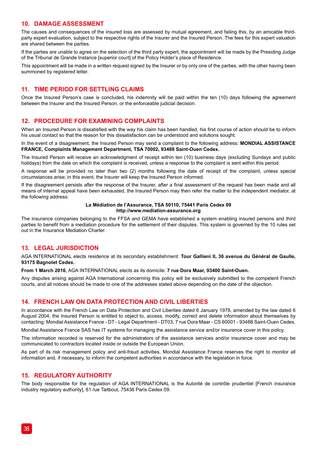## **10. DAMAGE ASSESSMENT**

The causes and consequences of the insured loss are assessed by mutual agreement, and failing this, by an amicable thirdparty expert evaluation, subject to the respective rights of the Insurer and the Insured Person. The fees for this expert valuation are shared between the parties.

If the parties are unable to agree on the selection of the third party expert, the appointment will be made by the Presiding Judge of the Tribunal de Grande Instance [superior court] of the Policy Holder's place of Residence.

This appointment will be made in a written request signed by the Insurer or by only one of the parties, with the other having been summoned by registered letter.

## **11. TIME PERIOD FOR SETTLING CLAIMS**

Once the Insured Person's case is concluded, his indemnity will be paid within the ten (10) days following the agreement between the Insurer and the Insured Person, or the enforceable judicial decision.

### **12. PROCEDURE FOR EXAMINING COMPLAINTS**

When an Insured Person is dissatisfied with the way his claim has been handled, his first course of action should be to inform his usual contact so that the reason for this dissatisfaction can be understood and solutions sought.

#### In the event of a disagreement, the Insured Person may send a complaint to the following address: **MONDIAL ASSISTANCE FRANCE, Complaints Management Department, TSA 70002, 93488 Saint-Ouen Cedex.**

The Insured Person will receive an acknowledgment of receipt within ten (10) business days (excluding Sundays and public holidays) from the date on which the complaint is received, unless a response to the complaint is sent within this period.

A response will be provided no later than two (2) months following the date of receipt of the complaint, unless special circumstances arise; in this event, the Insurer will keep the Insured Person informed.

If the disagreement persists after the response of the Insurer, after a final assessment of the request has been made and all means of internal appeal have been exhausted, the Insured Person may then refer the matter to the independent mediator, at the following address:

#### **La Médiation de l'Assurance, TSA 50110, 75441 Paris Cedex 09 http://www.mediation-assurance.org**

The insurance companies belonging to the FFSA and GEMA have established a system enabling insured persons and third parties to benefit from a mediation procedure for the settlement of their disputes. This system is governed by the 10 rules set out in the Insurance Mediation Charter.

## **13. LEGAL JURISDICTION**

AGA INTERNATIONAL elects residence at its secondary establishment: **Tour Gallieni II, 36 avenue du Général de Gaulle, 93175 Bagnolet Cedex.**

**From 1 March 2016**, AGA INTERNATIONAL elects as its domicile: **7 rue Dora Maar, 93400 Saint-Ouen.**

Any disputes arising against AGA International concerning this policy will be exclusively submitted to the competent French courts, and all notices should be made to one of the addresses stated above depending on the date of the objection.

## **14. FRENCH LAW ON DATA PROTECTION AND CIVIL LIBERTIES**

In accordance with the French Law on Data Protection and Civil Liberties dated 6 January 1978, amended by the law dated 6 August 2004, the Insured Person is entitled to object to, access, modify, correct and delete information about themselves by contacting: Mondial Assistance France - DT - Legal Department - DT03, 7 rue Dora Maar - CS 60001 - 93488 Saint-Ouen Cedex.

Mondial Assistance France SAS has IT systems for managing the assistance service and/or insurance cover in this policy.

The information recorded is reserved for the administrators of the assistance services and/or insurance cover and may be communicated to contractors located inside or outside the European Union.

As part of its risk management policy and anti-fraud activities, Mondial Assistance France reserves the right to monitor all information and, if necessary, to inform the competent authorities in accordance with the legislation in force.

## **15. REGULATORY AUTHORITY**

The body responsible for the regulation of AGA INTERNATIONAL is the Autorité de contrôle prudentiel [French insurance industry regulatory authority], 61 rue Taitbout, 75436 Paris Cedex 09.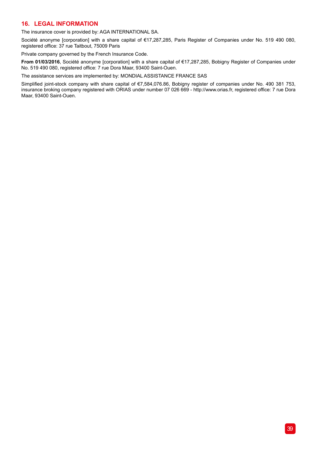## **16. LEGAL INFORMATION**

The insurance cover is provided by: AGA INTERNATIONAL SA.

Société anonyme [corporation] with a share capital of €17,287,285, Paris Register of Companies under No. 519 490 080, registered office: 37 rue Taitbout, 75009 Paris

Private company governed by the French Insurance Code.

**From 01/03/2016**, Société anonyme [corporation] with a share capital of €17,287,285, Bobigny Register of Companies under No. 519 490 080, registered office: 7 rue Dora Maar, 93400 Saint-Ouen.

The assistance services are implemented by: MONDIAL ASSISTANCE FRANCE SAS

Simplified joint-stock company with share capital of €7,584,076.86, Bobigny register of companies under No. 490 381 753, insurance broking company registered with ORIAS under number 07 026 669 - http://www.orias.fr, registered office: 7 rue Dora Maar, 93400 Saint-Ouen.